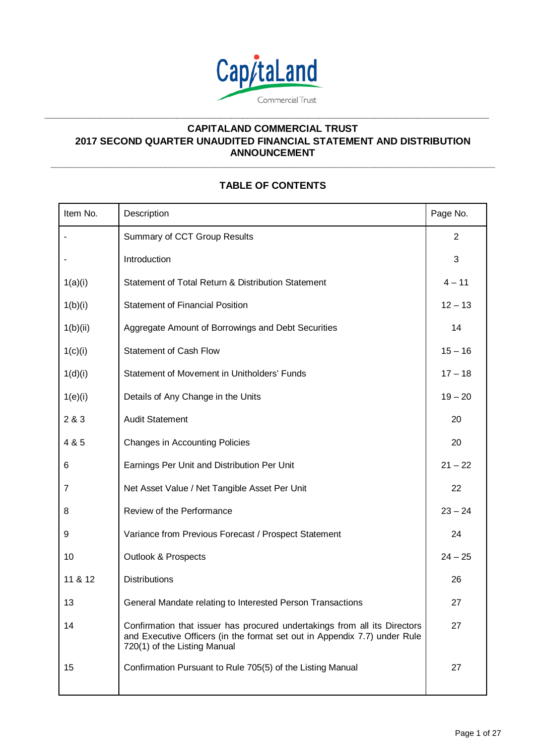

**\_\_\_\_\_\_\_\_\_\_\_\_\_\_\_\_\_\_\_\_\_\_\_\_\_\_\_\_\_\_\_\_\_\_\_\_\_\_\_\_\_\_\_\_\_\_\_\_\_\_\_\_\_\_\_\_\_\_\_\_\_\_\_\_\_\_\_\_\_\_\_\_\_\_\_\_\_\_\_\_\_**

# **CAPITALAND COMMERCIAL TRUST 2017 SECOND QUARTER UNAUDITED FINANCIAL STATEMENT AND DISTRIBUTION ANNOUNCEMENT**

# **TABLE OF CONTENTS**

**\_\_\_\_\_\_\_\_\_\_\_\_\_\_\_\_\_\_\_\_\_\_\_\_\_\_\_\_\_\_\_\_\_\_\_\_\_\_\_\_\_\_\_\_\_\_\_\_\_\_\_\_\_\_\_\_\_\_\_\_\_\_\_\_\_\_\_\_\_\_\_\_\_\_\_\_\_\_\_\_\_\_\_\_\_\_\_\_\_**

| Item No. | Description                                                                                                                                                                            | Page No.       |
|----------|----------------------------------------------------------------------------------------------------------------------------------------------------------------------------------------|----------------|
|          | Summary of CCT Group Results                                                                                                                                                           | $\overline{2}$ |
|          | Introduction                                                                                                                                                                           | 3              |
| 1(a)(i)  | Statement of Total Return & Distribution Statement                                                                                                                                     | $4 - 11$       |
| 1(b)(i)  | <b>Statement of Financial Position</b>                                                                                                                                                 | $12 - 13$      |
| 1(b)(ii) | Aggregate Amount of Borrowings and Debt Securities                                                                                                                                     | 14             |
| 1(c)(i)  | <b>Statement of Cash Flow</b>                                                                                                                                                          | $15 - 16$      |
| 1(d)(i)  | Statement of Movement in Unitholders' Funds                                                                                                                                            | $17 - 18$      |
| 1(e)(i)  | Details of Any Change in the Units                                                                                                                                                     | $19 - 20$      |
| 2 & 3    | <b>Audit Statement</b>                                                                                                                                                                 | 20             |
| 4 & 5    | <b>Changes in Accounting Policies</b>                                                                                                                                                  | 20             |
| 6        | Earnings Per Unit and Distribution Per Unit                                                                                                                                            | $21 - 22$      |
| 7        | Net Asset Value / Net Tangible Asset Per Unit                                                                                                                                          | 22             |
| 8        | Review of the Performance                                                                                                                                                              | $23 - 24$      |
| 9        | Variance from Previous Forecast / Prospect Statement                                                                                                                                   | 24             |
| 10       | <b>Outlook &amp; Prospects</b>                                                                                                                                                         | $24 - 25$      |
| 11 & 12  | <b>Distributions</b>                                                                                                                                                                   | 26             |
| 13       | General Mandate relating to Interested Person Transactions                                                                                                                             | 27             |
| 14       | Confirmation that issuer has procured undertakings from all its Directors<br>and Executive Officers (in the format set out in Appendix 7.7) under Rule<br>720(1) of the Listing Manual | 27             |
| 15       | Confirmation Pursuant to Rule 705(5) of the Listing Manual                                                                                                                             | 27             |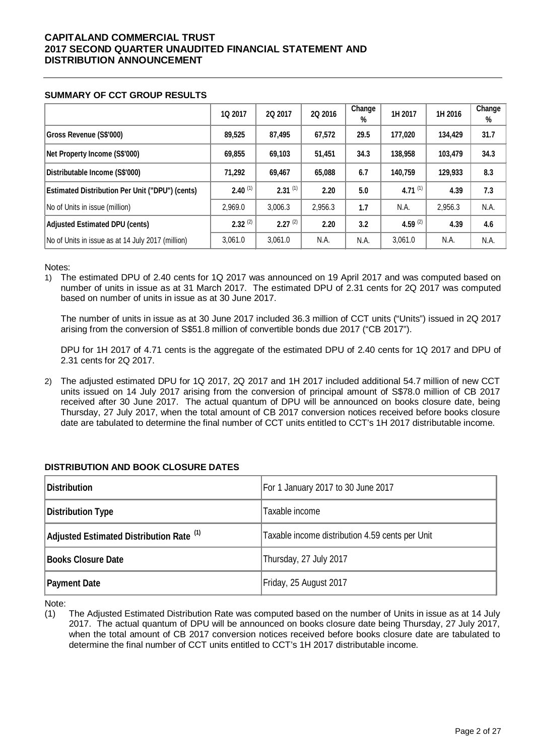## **SUMMARY OF CCT GROUP RESULTS**

|                                                        | 1Q 2017      | 2Q 2017      | 2Q 2016 | Change<br>% | 1H 2017       | 1H 2016 | Change<br>% |
|--------------------------------------------------------|--------------|--------------|---------|-------------|---------------|---------|-------------|
| Gross Revenue (S\$'000)                                | 89,525       | 87,495       | 67.572  | 29.5        | 177,020       | 134,429 | 31.7        |
| Net Property Income (S\$'000)                          | 69,855       | 69,103       | 51,451  | 34.3        | 138,958       | 103,479 | 34.3        |
| Distributable Income (S\$'000)                         | 71.292       | 69,467       | 65,088  | 6.7         | 140,759       | 129,933 | 8.3         |
| <b>Estimated Distribution Per Unit ("DPU") (cents)</b> | $2.40^{(1)}$ | $2.31^{(1)}$ | 2.20    | 5.0         | 4.71 $(1)$    | 4.39    | 7.3         |
| No of Units in issue (million)                         | 2.969.0      | 3,006.3      | 2,956.3 | 1.7         | N.A.          | 2,956.3 | N.A.        |
| <b>Adjusted Estimated DPU (cents)</b>                  | $2.32^{(2)}$ | $2.27^{(2)}$ | 2.20    | 3.2         | 4.59 $^{(2)}$ | 4.39    | 4.6         |
| No of Units in issue as at 14 July 2017 (million)      | 3,061.0      | 3,061.0      | N.A.    | N.A.        | 3,061.0       | N.A.    | N.A.        |

Notes:

1) The estimated DPU of 2.40 cents for 1Q 2017 was announced on 19 April 2017 and was computed based on number of units in issue as at 31 March 2017. The estimated DPU of 2.31 cents for 2Q 2017 was computed based on number of units in issue as at 30 June 2017.

The number of units in issue as at 30 June 2017 included 36.3 million of CCT units ("Units") issued in 2Q 2017 arising from the conversion of S\$51.8 million of convertible bonds due 2017 ("CB 2017").

DPU for 1H 2017 of 4.71 cents is the aggregate of the estimated DPU of 2.40 cents for 1Q 2017 and DPU of 2.31 cents for 2Q 2017.

2) The adjusted estimated DPU for 1Q 2017, 2Q 2017 and 1H 2017 included additional 54.7 million of new CCT units issued on 14 July 2017 arising from the conversion of principal amount of S\$78.0 million of CB 2017 received after 30 June 2017. The actual quantum of DPU will be announced on books closure date, being Thursday, 27 July 2017, when the total amount of CB 2017 conversion notices received before books closure date are tabulated to determine the final number of CCT units entitled to CCT's 1H 2017 distributable income.

## **DISTRIBUTION AND BOOK CLOSURE DATES**

| <b>Distribution</b>                                 | For 1 January 2017 to 30 June 2017              |
|-----------------------------------------------------|-------------------------------------------------|
| <b>Distribution Type</b>                            | Taxable income                                  |
| Adjusted Estimated Distribution Rate <sup>(1)</sup> | Taxable income distribution 4.59 cents per Unit |
| <b>Books Closure Date</b>                           | Thursday, 27 July 2017                          |
| <b>Payment Date</b>                                 | Friday, 25 August 2017                          |

Note:

(1) The Adjusted Estimated Distribution Rate was computed based on the number of Units in issue as at 14 July 2017. The actual quantum of DPU will be announced on books closure date being Thursday, 27 July 2017, when the total amount of CB 2017 conversion notices received before books closure date are tabulated to determine the final number of CCT units entitled to CCT's 1H 2017 distributable income.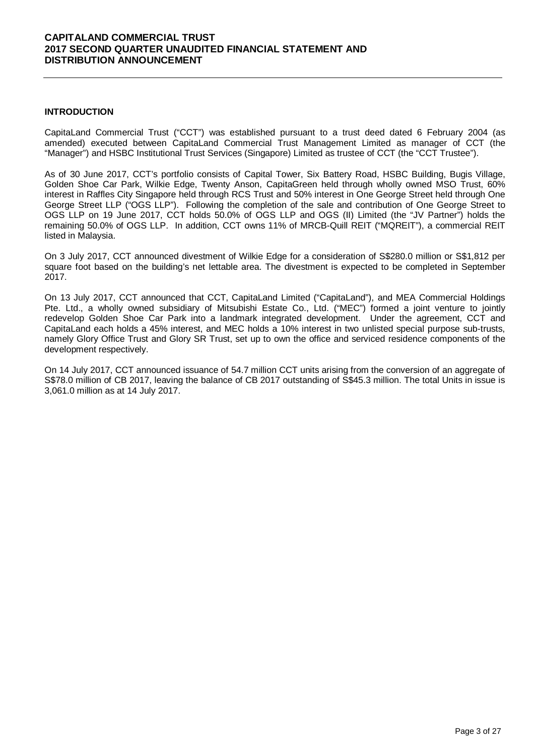## **INTRODUCTION**

CapitaLand Commercial Trust ("CCT") was established pursuant to a trust deed dated 6 February 2004 (as amended) executed between CapitaLand Commercial Trust Management Limited as manager of CCT (the "Manager") and HSBC Institutional Trust Services (Singapore) Limited as trustee of CCT (the "CCT Trustee").

As of 30 June 2017, CCT's portfolio consists of Capital Tower, Six Battery Road, HSBC Building, Bugis Village, Golden Shoe Car Park, Wilkie Edge, Twenty Anson, CapitaGreen held through wholly owned MSO Trust, 60% interest in Raffles City Singapore held through RCS Trust and 50% interest in One George Street held through One George Street LLP ("OGS LLP"). Following the completion of the sale and contribution of One George Street to OGS LLP on 19 June 2017, CCT holds 50.0% of OGS LLP and OGS (II) Limited (the "JV Partner") holds the remaining 50.0% of OGS LLP. In addition, CCT owns 11% of MRCB-Quill REIT ("MQREIT"), a commercial REIT listed in Malaysia.

On 3 July 2017, CCT announced divestment of Wilkie Edge for a consideration of S\$280.0 million or S\$1,812 per square foot based on the building's net lettable area. The divestment is expected to be completed in September 2017.

On 13 July 2017, CCT announced that CCT, CapitaLand Limited ("CapitaLand"), and MEA Commercial Holdings Pte. Ltd., a wholly owned subsidiary of Mitsubishi Estate Co., Ltd. ("MEC") formed a joint venture to jointly redevelop Golden Shoe Car Park into a landmark integrated development. Under the agreement, CCT and CapitaLand each holds a 45% interest, and MEC holds a 10% interest in two unlisted special purpose sub-trusts, namely Glory Office Trust and Glory SR Trust, set up to own the office and serviced residence components of the development respectively.

On 14 July 2017, CCT announced issuance of 54.7 million CCT units arising from the conversion of an aggregate of S\$78.0 million of CB 2017, leaving the balance of CB 2017 outstanding of S\$45.3 million. The total Units in issue is 3,061.0 million as at 14 July 2017.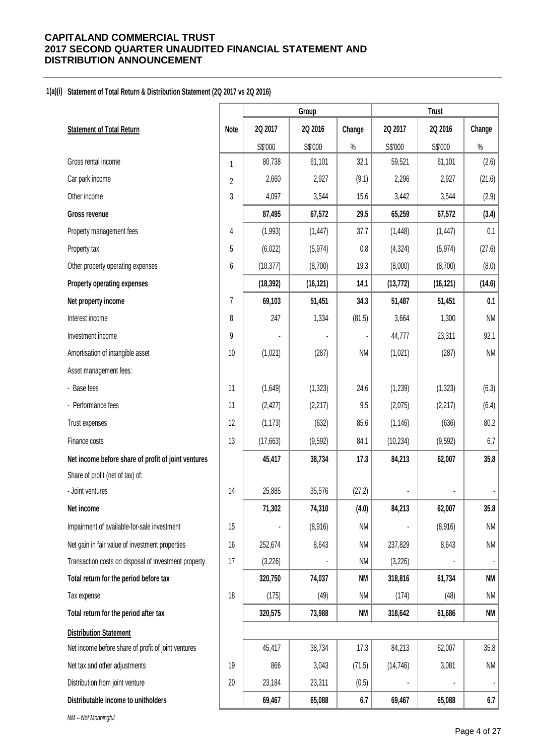## **1(a)(i) Statement of Total Return & Distribution Statement (2Q 2017 vs 2Q 2016)**

|                                                            |           | Group     |           |           | <b>Trust</b> |           |
|------------------------------------------------------------|-----------|-----------|-----------|-----------|--------------|-----------|
| <b>Statement of Total Return</b><br>Note                   | 2Q 2017   | 2Q 2016   | Change    | 2Q 2017   | 2Q 2016      | Change    |
|                                                            | S\$'000   | S\$'000   | $\%$      | S\$'000   | S\$'000      | $\%$      |
| Gross rental income<br>1                                   | 80,738    | 61,101    | 32.1      | 59,521    | 61,101       | (2.6)     |
| Car park income<br>$\overline{2}$                          | 2,660     | 2,927     | (9.1)     | 2,296     | 2,927        | (21.6)    |
| 3<br>Other income                                          | 4,097     | 3,544     | 15.6      | 3,442     | 3,544        | (2.9)     |
| Gross revenue                                              | 87,495    | 67,572    | 29.5      | 65,259    | 67,572       | (3.4)     |
| 4<br>Property management fees                              | (1,993)   | (1, 447)  | 37.7      | (1, 448)  | (1, 447)     | 0.1       |
| 5<br>Property tax                                          | (6,022)   | (5, 974)  | 0.8       | (4, 324)  | (5, 974)     | (27.6)    |
| 6<br>Other property operating expenses                     | (10, 377) | (8,700)   | 19.3      | (8,000)   | (8,700)      | (8.0)     |
| Property operating expenses                                | (18, 392) | (16, 121) | 14.1      | (13, 772) | (16, 121)    | (14.6)    |
| 7<br>Net property income                                   | 69,103    | 51,451    | 34.3      | 51,487    | 51,451       | 0.1       |
| Interest income<br>8                                       | 247       | 1,334     | (81.5)    | 3,664     | 1,300        | <b>NM</b> |
| 9<br>Investment income                                     |           |           |           | 44,777    | 23,311       | 92.1      |
| Amortisation of intangible asset<br>10                     | (1,021)   | (287)     | <b>NM</b> | (1,021)   | (287)        | <b>NM</b> |
| Asset management fees:                                     |           |           |           |           |              |           |
| - Base fees<br>11                                          | (1,649)   | (1, 323)  | 24.6      | (1, 239)  | (1, 323)     | (6.3)     |
| - Performance fees<br>11                                   | (2, 427)  | (2, 217)  | 9.5       | (2,075)   | (2, 217)     | (6.4)     |
| 12<br>Trust expenses                                       | (1, 173)  | (632)     | 85.6      | (1, 146)  | (636)        | 80.2      |
| 13<br>Finance costs                                        | (17,663)  | (9, 592)  | 84.1      | (10, 234) | (9, 592)     | 6.7       |
| Net income before share of profit of joint ventures        | 45,417    | 38,734    | 17.3      | 84,213    | 62,007       | 35.8      |
| Share of profit (net of tax) of:                           |           |           |           |           |              |           |
| 14<br>- Joint ventures                                     | 25,885    | 35,576    | (27.2)    |           |              |           |
| Net income                                                 | 71,302    | 74,310    | (4.0)     | 84,213    | 62,007       | 35.8      |
| Impairment of available-for-sale investment<br>15          |           | (8,916)   | <b>NM</b> |           | (8,916)      | <b>NM</b> |
| Net gain in fair value of investment properties<br>16      | 252,674   | 8,643     | <b>NM</b> | 237,829   | 8,643        | <b>NM</b> |
| Transaction costs on disposal of investment property<br>17 | (3,226)   |           | <b>NM</b> | (3,226)   |              | ٠         |
| Total return for the period before tax                     | 320,750   | 74,037    | <b>NM</b> | 318,816   | 61,734       | NM        |
| 18<br>Tax expense                                          | (175)     | (49)      | <b>NM</b> | (174)     | (48)         | NM        |
| Total return for the period after tax                      | 320,575   | 73,988    | <b>NM</b> | 318,642   | 61,686       | <b>NM</b> |
| <b>Distribution Statement</b>                              |           |           |           |           |              |           |
| Net income before share of profit of joint ventures        | 45,417    | 38,734    | 17.3      | 84,213    | 62,007       | 35.8      |
| Net tax and other adjustments<br>19                        | 866       | 3,043     | (71.5)    | (14, 746) | 3,081        | NM        |
| Distribution from joint venture<br>20                      | 23,184    | 23,311    | (0.5)     |           |              |           |
|                                                            |           |           |           |           |              |           |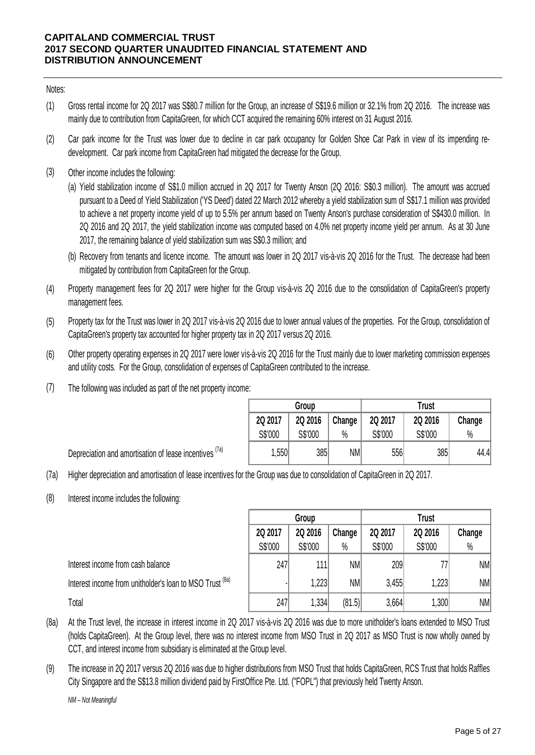Notes:

- (1) Gross rental income for 2Q 2017 was S\$80.7 million for the Group, an increase of S\$19.6 million or 32.1% from 2Q 2016. The increase was mainly due to contribution from CapitaGreen, for which CCT acquired the remaining 60% interest on 31 August 2016.
- (2) Car park income for the Trust was lower due to decline in car park occupancy for Golden Shoe Car Park in view of its impending redevelopment. Car park income from CapitaGreen had mitigated the decrease for the Group.
- (3) Other income includes the following:

(a) Yield stabilization income of S\$1.0 million accrued in 2Q 2017 for Twenty Anson (2Q 2016: S\$0.3 million). The amount was accrued pursuant to a Deed of Yield Stabilization ('YS Deed') dated 22 March 2012 whereby a yield stabilization sum of S\$17.1 million was provided to achieve a net property income yield of up to 5.5% per annum based on Twenty Anson's purchase consideration of S\$430.0 million. In 2Q 2016 and 2Q 2017, the yield stabilization income was computed based on 4.0% net property income yield per annum. As at 30 June 2017, the remaining balance of yield stabilization sum was S\$0.3 million; and

- (b) Recovery from tenants and licence income. The amount was lower in 2Q 2017 vis-à-vis 2Q 2016 for the Trust. The decrease had been mitigated by contribution from CapitaGreen for the Group.
- (4) Property management fees for 2Q 2017 were higher for the Group vis-à-vis 2Q 2016 due to the consolidation of CapitaGreen's property management fees.
- (5) Property tax for the Trust was lower in 2Q 2017 vis-à-vis 2Q 2016 due to lower annual values of the properties. For the Group, consolidation of CapitaGreen's property tax accounted for higher property tax in 2Q 2017 versus 2Q 2016.
- (6) Other property operating expenses in 2Q 2017 were lower vis-à-vis 2Q 2016 for the Trust mainly due to lower marketing commission expenses and utility costs. For the Group, consolidation of expenses of CapitaGreen contributed to the increase.
- (7) The following was included as part of the net property income:

Depreciation and amortisation of lease incentives <sup>(7a)</sup>

|         | Group   |        | <b>Trust</b> |         |        |  |  |
|---------|---------|--------|--------------|---------|--------|--|--|
| 2Q 2017 | 2Q 2016 | Change | 2Q 2017      | 2Q 2016 | Change |  |  |
| S\$'000 | S\$'000 | $\%$   | S\$'000      | S\$'000 | $\%$   |  |  |
| 1,550   | 385     | NM     | 556          | 385     | 44.4   |  |  |

(7a) Higher depreciation and amortisation of lease incentives for the Group was due to consolidation of CapitaGreen in 2Q 2017.

(8) Interest income includes the following:

|                                                          | Group   |         |        | Trust   |         |           |  |
|----------------------------------------------------------|---------|---------|--------|---------|---------|-----------|--|
|                                                          | 2Q 2017 | 2Q 2016 | Change | 2Q 2017 | 2Q 2016 | Change    |  |
|                                                          | S\$'000 | S\$'000 | $\%$   | S\$'000 | S\$'000 | $\%$      |  |
| Interest income from cash balance                        | 247     | 111     | NM     | 209     |         | NM        |  |
| Interest income from unitholder's loan to MSO Trust (8a) |         | 1,2231  | NM     | 3,455   | 1,223   | NM        |  |
| Total                                                    | 247     | 1,334   | (81.5) | 3,664   | 1,300   | <b>NM</b> |  |

- (8a) At the Trust level, the increase in interest income in 2Q 2017 vis-à-vis 2Q 2016 was due to more unitholder's loans extended to MSO Trust (holds CapitaGreen). At the Group level, there was no interest income from MSO Trust in 2Q 2017 as MSO Trust is now wholly owned by CCT, and interest income from subsidiary is eliminated at the Group level.
- (9) The increase in 2Q 2017 versus 2Q 2016 was due to higher distributions from MSO Trust that holds CapitaGreen, RCS Trust that holds Raffles City Singapore and the S\$13.8 million dividend paid by FirstOffice Pte. Ltd. ("FOPL") that previously held Twenty Anson.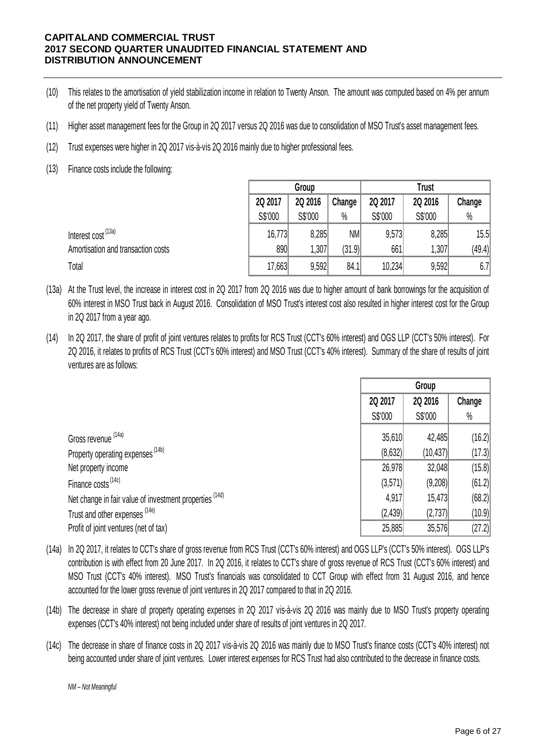- (10) This relates to the amortisation of yield stabilization income in relation to Twenty Anson. The amount was computed based on 4% per annum of the net property yield of Twenty Anson.
- (11) Higher asset management fees for the Group in 2Q 2017 versus 2Q 2016 was due to consolidation of MSO Trust's asset management fees.
- (12) Trust expenses were higher in 2Q 2017 vis-à-vis 2Q 2016 mainly due to higher professional fees.
- (13) Finance costs include the following:

|                                    | Group   |         |        | <b>Trust</b> |         |        |  |
|------------------------------------|---------|---------|--------|--------------|---------|--------|--|
|                                    | 2Q 2017 | 2Q 2016 | Change | 2Q 2017      | 2Q 2016 | Change |  |
|                                    | S\$'000 | S\$'000 | $\%$   | S\$'000      | S\$'000 | $\%$   |  |
| Interest cost <sup>(13a)</sup>     | 16,773  | 8,285   | NM     | 9,573        | 8,285   | 15.5   |  |
| Amortisation and transaction costs | 890     | 1,307   | (31.9) | 661          | 1,307   | (49.4) |  |
| Total                              | 17,663  | 9,592   | 84.1   | 10,234       | 9,592   | 6.7    |  |

- (13a) At the Trust level, the increase in interest cost in 2Q 2017 from 2Q 2016 was due to higher amount of bank borrowings for the acquisition of 60% interest in MSO Trust back in August 2016. Consolidation of MSO Trust's interest cost also resulted in higher interest cost for the Group in 2Q 2017 from a year ago.
- (14) In 2Q 2017, the share of profit of joint ventures relates to profits for RCS Trust (CCT's 60% interest) and OGS LLP (CCT's 50% interest). For 2Q 2016, it relates to profits of RCS Trust (CCT's 60% interest) and MSO Trust (CCT's 40% interest). Summary of the share of results of joint ventures are as follows:

|                                                         | Group    |           |        |
|---------------------------------------------------------|----------|-----------|--------|
|                                                         | 2Q 2017  | 2Q 2016   | Change |
|                                                         | S\$'000  | S\$'000   | $\%$   |
| Gross revenue (14a)                                     | 35,610   | 42,485    | (16.2) |
| Property operating expenses <sup>(14b)</sup>            | (8, 632) | (10, 437) | (17.3) |
| Net property income                                     | 26,978   | 32,048    | (15.8) |
| Finance costs <sup>(14c)</sup>                          | (3,571)  | (9,208)   | (61.2) |
| Net change in fair value of investment properties (14d) | 4,917    | 15,473    | (68.2) |
| Trust and other expenses (14e)                          | (2, 439) | (2,737)   | (10.9) |
| Profit of joint ventures (net of tax)                   | 25,885   | 35,576    | (27.2) |

- (14a) In 2Q 2017, it relates to CCT's share of gross revenue from RCS Trust (CCT's 60% interest) and OGS LLP's (CCT's 50% interest). OGS LLP's contribution is with effect from 20 June 2017. In 2Q 2016, it relates to CCT's share of gross revenue of RCS Trust (CCT's 60% interest) and MSO Trust (CCT's 40% interest). MSO Trust's financials was consolidated to CCT Group with effect from 31 August 2016, and hence accounted for the lower gross revenue of joint ventures in 2Q 2017 compared to that in 2Q 2016.
- (14b) The decrease in share of property operating expenses in 2Q 2017 vis-à-vis 2Q 2016 was mainly due to MSO Trust's property operating expenses (CCT's 40% interest) not being included under share of results of joint ventures in 2Q 2017.
- (14c) The decrease in share of finance costs in 2Q 2017 vis-à-vis 2Q 2016 was mainly due to MSO Trust's finance costs (CCT's 40% interest) not being accounted under share of joint ventures. Lower interest expenses for RCS Trust had also contributed to the decrease in finance costs.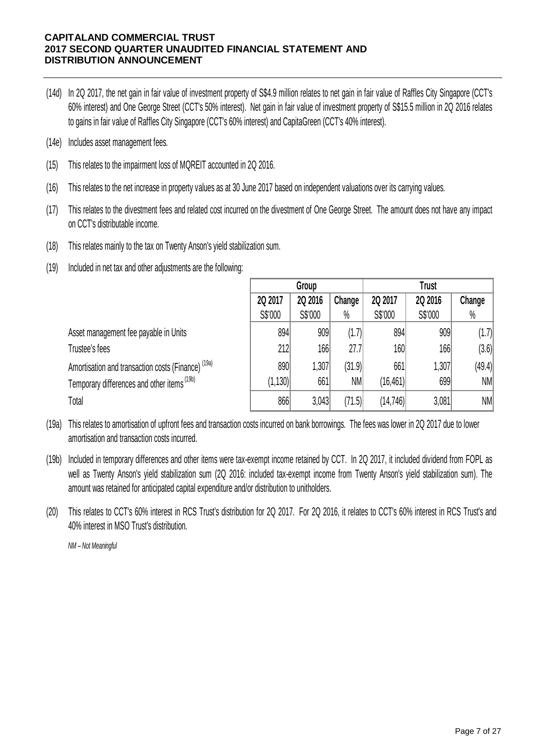- (14d) In 2Q 2017, the net gain in fair value of investment property of S\$4.9 million relates to net gain in fair value of Raffles City Singapore (CCT's 60% interest) and One George Street (CCT's 50% interest). Net gain in fair value of investment property of S\$15.5 million in 2Q <sup>2016</sup> relates to gains in fair value of Raffles City Singapore (CCT's 60% interest) and CapitaGreen (CCT's 40% interest).
- (14e) Includes asset management fees.
- (15) This relates to the impairment loss of MQREIT accounted in 2Q 2016.
- (16) This relates to the net increase in property values as at 30 June 2017 based on independent valuations over its carrying values.
- (17) This relates to the divestment fees and related cost incurred on the divestment of One George Street. The amount does not have any impact on CCT's distributable income.
- (18) This relates mainly to the tax on Twenty Anson's yield stabilization sum.
- (19) Included in net tax and other adjustments are the following:

|                                                               |          | Group   |           | <b>Trust</b> |         |        |  |
|---------------------------------------------------------------|----------|---------|-----------|--------------|---------|--------|--|
|                                                               | 2Q 2017  | 2Q 2016 | Change    | 2Q 2017      | 2Q 2016 | Change |  |
|                                                               | S\$'000  | S\$'000 | $\%$      | S\$'000      | S\$'000 | $\%$   |  |
| Asset management fee payable in Units                         | 894      | 909     | (1.7)     | 894          | 909     | (1.7)  |  |
| Trustee's fees                                                | 212      | 166     | 27.7      | 160          | 166     | (3.6)  |  |
| Amortisation and transaction costs (Finance) <sup>(19a)</sup> | 890      | 1,307   | (31.9)    | 661          | 1,307   | (49.4) |  |
| Temporary differences and other items (19b)                   | (1, 130) | 661     | <b>NM</b> | (16, 461)    | 699     | NM     |  |
| Total                                                         | 866      | 3.043   | (71.5)    | (14, 746)    | 3,081   | NM     |  |

- (19a) This relates to amortisation of upfront fees and transaction costs incurred on bank borrowings. The fees was lower in 2Q 2017 due to lower amortisation and transaction costs incurred.
- (19b) Included in temporary differences and other items were tax-exempt income retained by CCT. In 2Q 2017, it included dividend from FOPL as well as Twenty Anson's yield stabilization sum (2Q 2016: included tax-exempt income from Twenty Anson's yield stabilization sum). The amount was retained for anticipated capital expenditure and/or distribution to unitholders.
- (20) This relates to CCT's 60% interest in RCS Trust's distribution for 2Q 2017. For 2Q 2016, it relates to CCT's 60% interest in RCS Trust's and 40% interest in MSO Trust's distribution.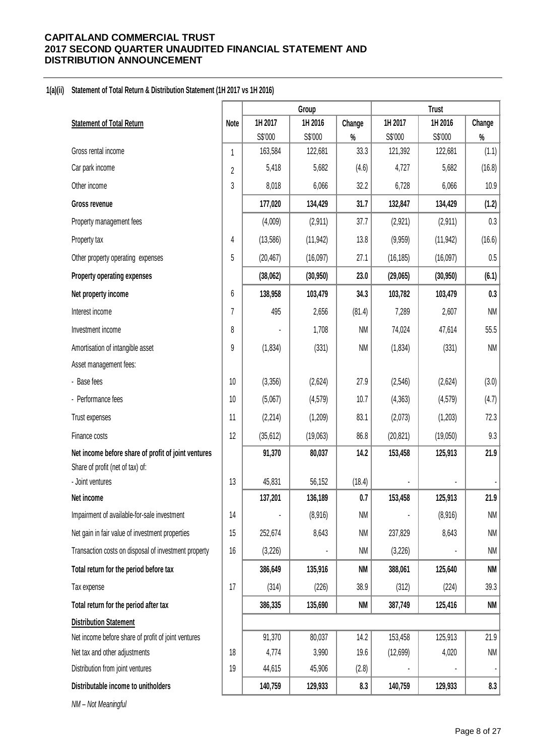## **1(a)(ii) Statement of Total Return & Distribution Statement (1H 2017 vs 1H 2016)**

|                                                      |                | Group     |           |           |           |           |           |
|------------------------------------------------------|----------------|-----------|-----------|-----------|-----------|-----------|-----------|
| <b>Statement of Total Return</b>                     | <b>Note</b>    | 1H 2017   | 1H 2016   | Change    | 1H 2017   | 1H 2016   | Change    |
|                                                      |                | S\$'000   | S\$'000   | $\%$      | S\$'000   | S\$'000   | $\%$      |
| Gross rental income                                  | $\mathbf{1}$   | 163,584   | 122,681   | 33.3      | 121,392   | 122,681   | (1.1)     |
| Car park income                                      | $\overline{2}$ | 5,418     | 5,682     | (4.6)     | 4,727     | 5,682     | (16.8)    |
| Other income                                         | 3              | 8,018     | 6,066     | 32.2      | 6,728     | 6,066     | 10.9      |
| Gross revenue                                        |                | 177,020   | 134,429   | 31.7      | 132,847   | 134,429   | (1.2)     |
| Property management fees                             |                | (4,009)   | (2,911)   | 37.7      | (2,921)   | (2,911)   | 0.3       |
| Property tax                                         | 4              | (13,586)  | (11, 942) | 13.8      | (9,959)   | (11, 942) | (16.6)    |
| Other property operating expenses                    | 5              | (20, 467) | (16,097)  | 27.1      | (16, 185) | (16,097)  | 0.5       |
| Property operating expenses                          |                | (38,062)  | (30, 950) | 23.0      | (29,065)  | (30, 950) | (6.1)     |
| Net property income                                  | 6              | 138,958   | 103,479   | 34.3      | 103,782   | 103,479   | 0.3       |
| Interest income                                      | $\overline{7}$ | 495       | 2,656     | (81.4)    | 7,289     | 2,607     | <b>NM</b> |
| Investment income                                    | 8              |           | 1,708     | NM        | 74,024    | 47,614    | 55.5      |
| Amortisation of intangible asset                     | 9              | (1,834)   | (331)     | NM        | (1,834)   | (331)     | <b>NM</b> |
| Asset management fees:                               |                |           |           |           |           |           |           |
| - Base fees                                          | 10             | (3,356)   | (2,624)   | 27.9      | (2, 546)  | (2,624)   | (3.0)     |
| - Performance fees                                   | 10             | (5,067)   | (4,579)   | 10.7      | (4, 363)  | (4, 579)  | (4.7)     |
| Trust expenses                                       | 11             | (2, 214)  | (1,209)   | 83.1      | (2,073)   | (1,203)   | 72.3      |
| Finance costs                                        | 12             | (35, 612) | (19,063)  | 86.8      | (20, 821) | (19,050)  | 9.3       |
| Net income before share of profit of joint ventures  |                | 91,370    | 80,037    | 14.2      | 153,458   | 125,913   | 21.9      |
| Share of profit (net of tax) of:                     |                |           |           |           |           |           |           |
| - Joint ventures                                     | 13             | 45,831    | 56,152    | (18.4)    |           |           |           |
| Net income                                           |                | 137,201   | 136,189   | 0.7       | 153,458   | 125,913   | 21.9      |
| Impairment of available-for-sale investment          | 14             |           | (8,916)   | <b>NM</b> |           | (8,916)   | NM        |
| Net gain in fair value of investment properties      | 15             | 252,674   | 8,643     | <b>NM</b> | 237,829   | 8,643     | <b>NM</b> |
| Transaction costs on disposal of investment property | 16             | (3, 226)  |           | NM        | (3,226)   |           | <b>NM</b> |
| Total return for the period before tax               |                | 386,649   | 135,916   | <b>NM</b> | 388,061   | 125,640   | <b>NM</b> |
| Tax expense                                          | 17             | (314)     | (226)     | 38.9      | (312)     | (224)     | 39.3      |
| Total return for the period after tax                |                | 386,335   | 135,690   | <b>NM</b> | 387,749   | 125,416   | NM        |
| <b>Distribution Statement</b>                        |                |           |           |           |           |           |           |
| Net income before share of profit of joint ventures  |                | 91,370    | 80,037    | 14.2      | 153,458   | 125,913   | 21.9      |
| Net tax and other adjustments                        | 18             | 4,774     | 3,990     | 19.6      | (12,699)  | 4,020     | NM        |
| Distribution from joint ventures                     | 19             | 44,615    | 45,906    | (2.8)     |           |           |           |
| Distributable income to unitholders                  |                | 140,759   | 129,933   | 8.3       | 140,759   | 129,933   | 8.3       |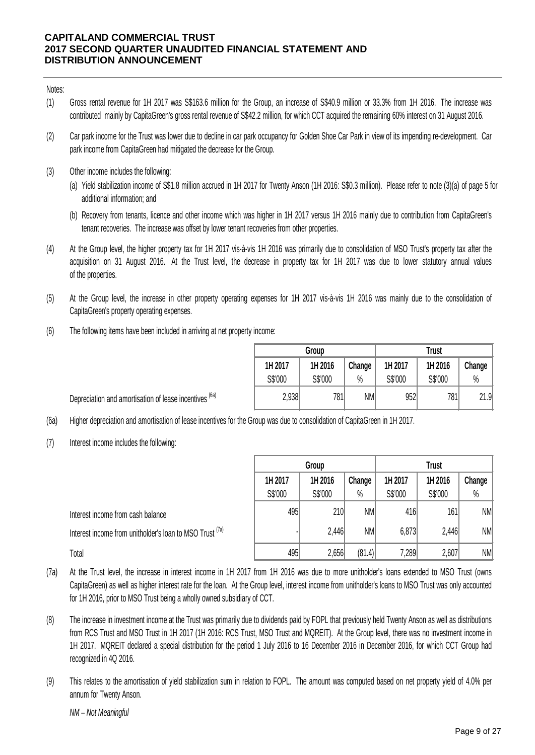Notes:

- (1) Gross rental revenue for 1H 2017 was S\$163.6 million for the Group, an increase of S\$40.9 million or 33.3% from 1H 2016. The increase was contributed mainly by CapitaGreen's gross rental revenue of S\$42.2 million, for which CCT acquired the remaining 60% interest on 31 August 2016.
- (2) Car park income for the Trust was lower due to decline in car park occupancy for Golden Shoe Car Park in view of its impending re-development. Car park income from CapitaGreen had mitigated the decrease for the Group.
- (3) Other income includes the following:
	- (a) Yield stabilization income of S\$1.8 million accrued in 1H 2017 for Twenty Anson (1H 2016: S\$0.3 million). Please refer to note (3)(a) of page 5 for additional information; and
	- (b) Recovery from tenants, licence and other income which was higher in 1H 2017 versus 1H 2016 mainly due to contribution from CapitaGreen's tenant recoveries. The increase was offset by lower tenant recoveries from other properties.
- (4) At the Group level, the higher property tax for 1H 2017 vis-à-vis 1H 2016 was primarily due to consolidation of MSO Trust's property tax after the acquisition on 31 August 2016. At the Trust level, the decrease in property tax for 1H 2017 was due to lower statutory annual values of the properties.
- (5) At the Group level, the increase in other property operating expenses for 1H 2017 vis-à-vis 1H 2016 was mainly due to the consolidation of CapitaGreen's property operating expenses.
- (6) The following items have been included in arriving at net property income:

|         | Group   |        | <b>Trust</b> |         |        |  |  |
|---------|---------|--------|--------------|---------|--------|--|--|
| 1H 2017 | 1H 2016 | Change | 1H 2017      | 1H 2016 | Change |  |  |
| S\$'000 | S\$'000 | $\%$   | S\$'000      | S\$'000 | $\%$   |  |  |
| 2,938   | 781     | NM     | 952          | 781     | 21.9   |  |  |

Depreciation and amortisation of lease incentives <sup>(6a)</sup>

- (6a) Higher depreciation and amortisation of lease incentives for the Group was due to consolidation of CapitaGreen in 1H 2017.
- (7) Interest income includes the following:

|                                                          | Group   |         |           | <b>Trust</b> |         |           |  |
|----------------------------------------------------------|---------|---------|-----------|--------------|---------|-----------|--|
|                                                          | 1H 2017 | 1H 2016 | Change    | 1H 2017      | 1H 2016 | Change    |  |
|                                                          | S\$'000 | S\$'000 | $\%$      | S\$'000      | S\$'000 | $\%$      |  |
| Interest income from cash balance                        | 495     | 210     | <b>NM</b> | 416          | 161     | <b>NM</b> |  |
| Interest income from unitholder's loan to MSO Trust (7a) |         | 2.446   | NM        | 6,873        | 2,446   | <b>NM</b> |  |
| Total                                                    | 495     | 2,656   | (81.4)    | 7,289        | 2,607   | <b>NM</b> |  |

- (7a) At the Trust level, the increase in interest income in 1H 2017 from 1H 2016 was due to more unitholder's loans extended to MSO Trust (owns CapitaGreen) as well as higher interest rate for the loan. At the Group level, interest income from unitholder's loans to MSO Trust was only accounted for 1H 2016, prior to MSO Trust being a wholly owned subsidiary of CCT.
- (8) The increase in investment income at the Trust was primarily due to dividends paid by FOPL that previously held Twenty Anson as well as distributions from RCS Trust and MSO Trust in 1H 2017 (1H 2016: RCS Trust, MSO Trust and MQREIT). At the Group level, there was no investment income in 1H 2017. MQREIT declared a special distribution for the period 1 July 2016 to 16 December 2016 in December 2016, for which CCT Group had recognized in 4Q 2016.
- (9) This relates to the amortisation of yield stabilization sum in relation to FOPL. The amount was computed based on net property yield of 4.0% per annum for Twenty Anson.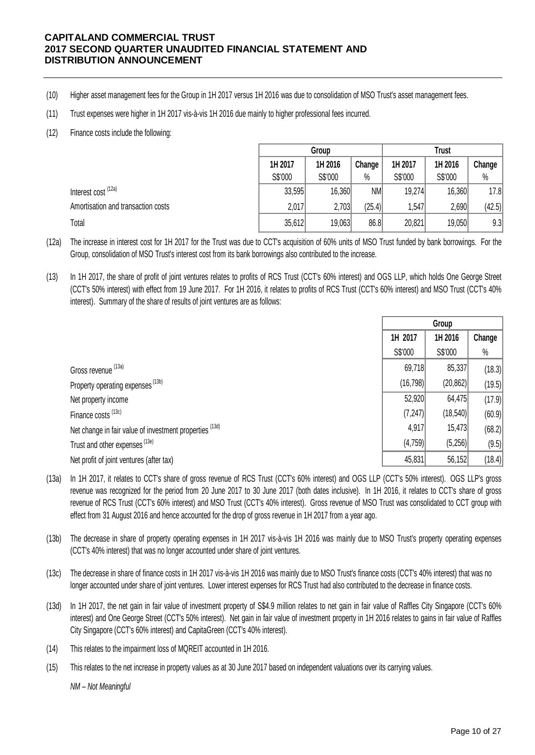- (10) Higher asset management fees for the Group in 1H 2017 versus 1H 2016 was due to consolidation of MSO Trust's asset management fees.
- (11) Trust expenses were higher in 1H 2017 vis-à-vis 1H 2016 due mainly to higher professional fees incurred.
- (12) Finance costs include the following:

|                                    |         | Group   |           |         | <b>Trust</b> |        |
|------------------------------------|---------|---------|-----------|---------|--------------|--------|
|                                    | 1H 2017 | 1H 2016 | Change    | 1H 2017 | 1H 2016      | Change |
|                                    | S\$'000 | S\$'000 | $\%$      | S\$'000 | S\$'000      | $\%$   |
| Interest cost (12a)                | 33,595  | 16,360  | <b>NM</b> | 19,274  | 16,360       | 17.8   |
| Amortisation and transaction costs | 2,017   | 2,703   | (25.4)    | .547    | 2,690        | (42.5) |
|                                    | 35,612  | 19,063  | 86.8      | 20,821  | 19,050       | 9.3    |

(12a) The increase in interest cost for 1H 2017 for the Trust was due to CCT's acquisition of 60% units of MSO Trust funded by bank borrowings. For the Group, consolidation of MSO Trust's interest cost from its bank borrowings also contributed to the increase.

(13) In 1H 2017, the share of profit of joint ventures relates to profits of RCS Trust (CCT's 60% interest) and OGS LLP, which holds One George Street (CCT's 50% interest) with effect from 19 June 2017. For 1H 2016, it relates to profits of RCS Trust (CCT's 60% interest) and MSO Trust (CCT's 40% interest). Summary of the share of results of joint ventures are as follows:

|                                                         | Group              |           |        |
|---------------------------------------------------------|--------------------|-----------|--------|
|                                                         | 1H 2017<br>1H 2016 |           | Change |
|                                                         | S\$'000            | S\$'000   | $\%$   |
| Gross revenue (13a)                                     | 69,718             | 85,337    | (18.3) |
| Property operating expenses (13b)                       | (16, 798)          | (20, 862) | (19.5) |
| Net property income                                     | 52,920             | 64,475    | (17.9) |
| Finance costs (13c)                                     | (7, 247)           | (18, 540) | (60.9) |
| Net change in fair value of investment properties (13d) | 4,917              | 15,473    | (68.2) |
| Trust and other expenses (13e)                          | (4,759)            | (5,256)   | (9.5)  |
| Net profit of joint ventures (after tax)                | 45,831             | 56,152    | (18.4) |

(13a) In 1H 2017, it relates to CCT's share of gross revenue of RCS Trust (CCT's 60% interest) and OGS LLP (CCT's 50% interest). OGS LLP's gross revenue was recognized for the period from 20 June 2017 to 30 June 2017 (both dates inclusive). In 1H 2016, it relates to CCT's share of gross revenue of RCS Trust (CCT's 60% interest) and MSO Trust (CCT's 40% interest). Gross revenue of MSO Trust was consolidated to CCT group with effect from 31 August 2016 and hence accounted for the drop of gross revenue in 1H 2017 from a year ago.

- (13b) The decrease in share of property operating expenses in 1H 2017 vis-à-vis 1H 2016 was mainly due to MSO Trust's property operating expenses (CCT's 40% interest) that was no longer accounted under share of joint ventures.
- (13c) The decrease in share of finance costs in 1H 2017 vis-à-vis 1H 2016 was mainly due to MSO Trust's finance costs (CCT's 40% interest) that was no longer accounted under share of joint ventures. Lower interest expenses for RCS Trust had also contributed to the decrease in finance costs.
- (13d) In 1H 2017, the net gain in fair value of investment property of S\$4.9 million relates to net gain in fair value of Raffles City Singapore (CCT's 60%) interest) and One George Street (CCT's 50% interest). Net gain in fair value of investment property in 1H 2016 relates to gains in fair value of Raffles City Singapore (CCT's 60% interest) and CapitaGreen (CCT's 40% interest).
- (14) This relates to the impairment loss of MQREIT accounted in 1H 2016.
- (15) This relates to the net increase in property values as at 30 June 2017 based on independent valuations over its carrying values.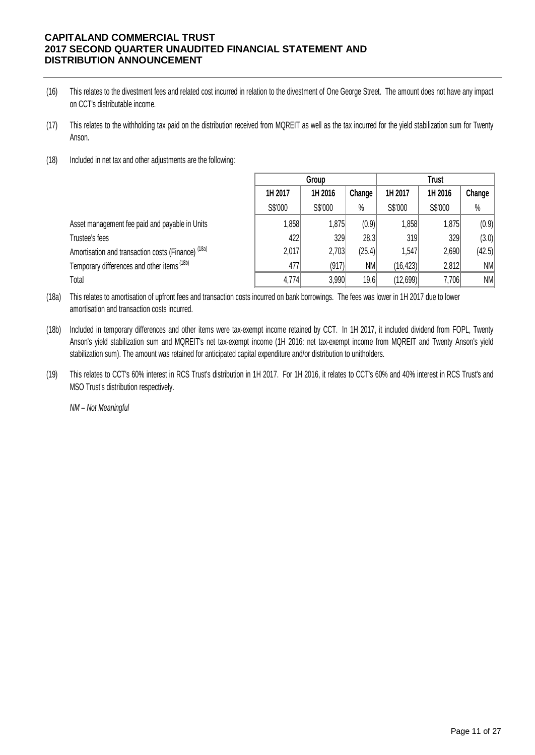- (16) This relates to the divestment fees and related cost incurred in relation to the divestment of One George Street. The amount does not have any impact on CCT's distributable income.
- (17) This relates to the withholding tax paid on the distribution received from MQREIT as well as the tax incurred for the yield stabilization sum for Twenty Anson.
- (18) Included in net tax and other adjustments are the following:

|                                                               | Group   |         |           | <b>Trust</b> |         |        |
|---------------------------------------------------------------|---------|---------|-----------|--------------|---------|--------|
|                                                               | 1H 2017 | 1H 2016 | Change    | 1H 2017      | 1H 2016 | Change |
|                                                               | S\$'000 | S\$'000 | $\%$      | S\$'000      | S\$'000 | $\%$   |
| Asset management fee paid and payable in Units                | 1,858   | 1,875   | (0.9)     | 1,858        | 1,875   | (0.9)  |
| Trustee's fees                                                | 422     | 329     | 28.3      | 319          | 329     | (3.0)  |
| Amortisation and transaction costs (Finance) <sup>(18a)</sup> | 2,017   | 2,703   | (25.4)    | 1,547        | 2,690   | (42.5) |
| Temporary differences and other items <sup>(18b)</sup>        | 477     | (917)   | <b>NM</b> | (16, 423)    | 2,812   | NM     |
| Total                                                         | 4,774   | 3,990   | 19.6      | (12,699)     | 7,706   | N/M    |

(18a) This relates to amortisation of upfront fees and transaction costs incurred on bank borrowings. The fees was lower in 1H 2017 due to lower amortisation and transaction costs incurred.

- (18b) Included in temporary differences and other items were tax-exempt income retained by CCT. In 1H 2017, it included dividend from FOPL, Twenty Anson's yield stabilization sum and MQREIT's net tax-exempt income (1H 2016: net tax-exempt income from MQREIT and Twenty Anson's yield stabilization sum). The amount was retained for anticipated capital expenditure and/or distribution to unitholders.
- (19) This relates to CCT's 60% interest in RCS Trust's distribution in 1H 2017. For 1H 2016, it relates to CCT's 60% and 40% interest in RCS Trust's and MSO Trust's distribution respectively.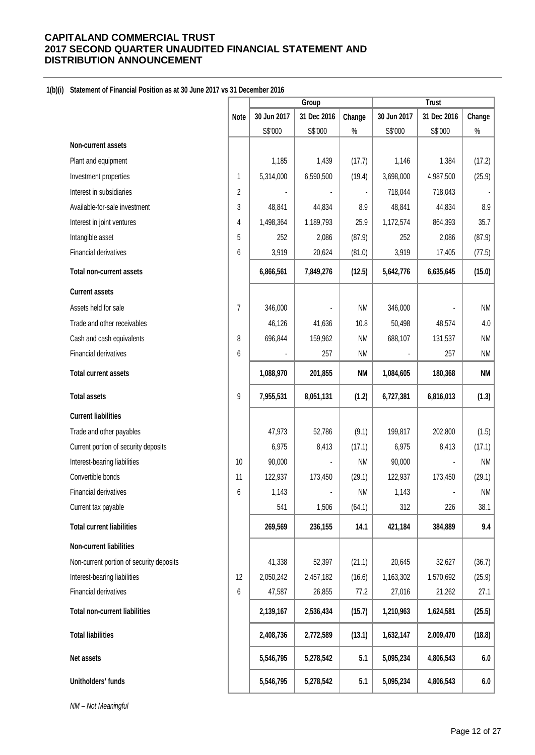## **1(b)(i) Statement of Financial Position as at 30 June 2017 vs 31 December 2016**

|                                          |                | Group       |             |           | <b>Trust</b> |             |           |
|------------------------------------------|----------------|-------------|-------------|-----------|--------------|-------------|-----------|
|                                          | <b>Note</b>    | 30 Jun 2017 | 31 Dec 2016 | Change    | 30 Jun 2017  | 31 Dec 2016 | Change    |
|                                          |                | S\$'000     | S\$'000     | $\%$      | S\$'000      | S\$'000     | $\%$      |
| Non-current assets                       |                |             |             |           |              |             |           |
| Plant and equipment                      |                | 1,185       | 1,439       | (17.7)    | 1,146        | 1,384       | (17.2)    |
| Investment properties                    | 1              | 5,314,000   | 6,590,500   | (19.4)    | 3,698,000    | 4,987,500   | (25.9)    |
| Interest in subsidiaries                 | 2              |             |             |           | 718,044      | 718,043     |           |
| Available-for-sale investment            | 3              | 48,841      | 44,834      | 8.9       | 48,841       | 44,834      | 8.9       |
| Interest in joint ventures               | 4              | 1,498,364   | 1,189,793   | 25.9      | 1,172,574    | 864,393     | 35.7      |
| Intangible asset                         | 5              | 252         | 2,086       | (87.9)    | 252          | 2,086       | (87.9)    |
| Financial derivatives                    | 6              | 3,919       | 20,624      | (81.0)    | 3,919        | 17,405      | (77.5)    |
| <b>Total non-current assets</b>          |                | 6,866,561   | 7,849,276   | (12.5)    | 5,642,776    | 6,635,645   | (15.0)    |
| <b>Current assets</b>                    |                |             |             |           |              |             |           |
| Assets held for sale                     | $\overline{7}$ | 346,000     |             | <b>NM</b> | 346,000      |             | <b>NM</b> |
| Trade and other receivables              |                | 46,126      | 41,636      | 10.8      | 50,498       | 48,574      | 4.0       |
| Cash and cash equivalents                | 8              | 696,844     | 159,962     | <b>NM</b> | 688,107      | 131,537     | <b>NM</b> |
| Financial derivatives                    | 6              |             | 257         | <b>NM</b> |              | 257         | <b>NM</b> |
| <b>Total current assets</b>              |                | 1,088,970   | 201,855     | <b>NM</b> | 1,084,605    | 180,368     | <b>NM</b> |
| <b>Total assets</b>                      | 9              | 7,955,531   | 8,051,131   | (1.2)     | 6,727,381    | 6,816,013   | (1.3)     |
| <b>Current liabilities</b>               |                |             |             |           |              |             |           |
| Trade and other payables                 |                | 47,973      | 52,786      | (9.1)     | 199,817      | 202,800     | (1.5)     |
| Current portion of security deposits     |                | 6,975       | 8,413       | (17.1)    | 6,975        | 8,413       | (17.1)    |
| Interest-bearing liabilities             | 10             | 90,000      |             | <b>NM</b> | 90,000       |             | <b>NM</b> |
| Convertible bonds                        | 11             | 122,937     | 173,450     | (29.1)    | 122,937      | 173,450     | (29.1)    |
| Financial derivatives                    | 6              | 1,143       |             | <b>NM</b> | 1,143        |             | NM        |
| Current tax payable                      |                | 541         | 1,506       | (64.1)    | 312          | 226         | 38.1      |
| <b>Total current liabilities</b>         |                | 269,569     | 236,155     | 14.1      | 421,184      | 384,889     | 9.4       |
| <b>Non-current liabilities</b>           |                |             |             |           |              |             |           |
| Non-current portion of security deposits |                | 41,338      | 52,397      | (21.1)    | 20,645       | 32,627      | (36.7)    |
| Interest-bearing liabilities             | 12             | 2,050,242   | 2,457,182   | (16.6)    | 1,163,302    | 1,570,692   | (25.9)    |
| Financial derivatives                    | 6              | 47,587      | 26,855      | 77.2      | 27,016       | 21,262      | 27.1      |
| <b>Total non-current liabilities</b>     |                | 2,139,167   | 2,536,434   | (15.7)    | 1,210,963    | 1,624,581   | (25.5)    |
| <b>Total liabilities</b>                 |                | 2,408,736   | 2,772,589   | (13.1)    | 1,632,147    | 2,009,470   | (18.8)    |
| Net assets                               |                | 5,546,795   | 5,278,542   | 5.1       | 5,095,234    | 4,806,543   | 6.0       |
| Unitholders' funds                       |                | 5,546,795   | 5,278,542   | 5.1       | 5,095,234    | 4,806,543   | 6.0       |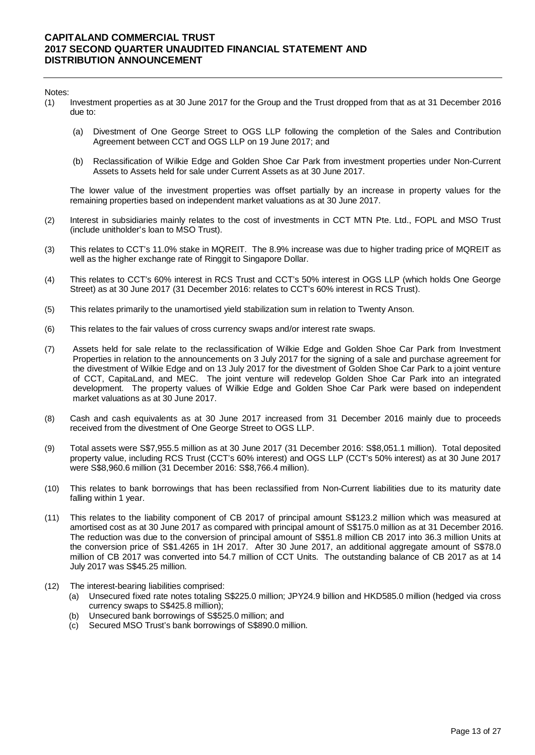#### Notes:

- (1) Investment properties as at 30 June 2017 for the Group and the Trust dropped from that as at 31 December 2016 due to:
	- (a) Divestment of One George Street to OGS LLP following the completion of the Sales and Contribution Agreement between CCT and OGS LLP on 19 June 2017; and
	- (b) Reclassification of Wilkie Edge and Golden Shoe Car Park from investment properties under Non-Current Assets to Assets held for sale under Current Assets as at 30 June 2017.

The lower value of the investment properties was offset partially by an increase in property values for the remaining properties based on independent market valuations as at 30 June 2017.

- (2) Interest in subsidiaries mainly relates to the cost of investments in CCT MTN Pte. Ltd., FOPL and MSO Trust (include unitholder's loan to MSO Trust).
- (3) This relates to CCT's 11.0% stake in MQREIT. The 8.9% increase was due to higher trading price of MQREIT as well as the higher exchange rate of Ringgit to Singapore Dollar.
- (4) This relates to CCT's 60% interest in RCS Trust and CCT's 50% interest in OGS LLP (which holds One George Street) as at 30 June 2017 (31 December 2016: relates to CCT's 60% interest in RCS Trust).
- (5) This relates primarily to the unamortised yield stabilization sum in relation to Twenty Anson.
- (6) This relates to the fair values of cross currency swaps and/or interest rate swaps.
- (7) Assets held for sale relate to the reclassification of Wilkie Edge and Golden Shoe Car Park from Investment Properties in relation to the announcements on 3 July 2017 for the signing of a sale and purchase agreement for the divestment of Wilkie Edge and on 13 July 2017 for the divestment of Golden Shoe Car Park to a joint venture of CCT, CapitaLand, and MEC. The joint venture will redevelop Golden Shoe Car Park into an integrated development. The property values of Wilkie Edge and Golden Shoe Car Park were based on independent market valuations as at 30 June 2017.
- (8) Cash and cash equivalents as at 30 June 2017 increased from 31 December 2016 mainly due to proceeds received from the divestment of One George Street to OGS LLP.
- (9) Total assets were S\$7,955.5 million as at 30 June 2017 (31 December 2016: S\$8,051.1 million). Total deposited property value, including RCS Trust (CCT's 60% interest) and OGS LLP (CCT's 50% interest) as at 30 June 2017 were S\$8,960.6 million (31 December 2016: S\$8,766.4 million).
- (10) This relates to bank borrowings that has been reclassified from Non-Current liabilities due to its maturity date falling within 1 year.
- (11) This relates to the liability component of CB 2017 of principal amount S\$123.2 million which was measured at amortised cost as at 30 June 2017 as compared with principal amount of S\$175.0 million as at 31 December 2016. The reduction was due to the conversion of principal amount of S\$51.8 million CB 2017 into 36.3 million Units at the conversion price of S\$1.4265 in 1H 2017. After 30 June 2017, an additional aggregate amount of S\$78.0 million of CB 2017 was converted into 54.7 million of CCT Units. The outstanding balance of CB 2017 as at 14 July 2017 was S\$45.25 million.
- (12) The interest-bearing liabilities comprised:
	- (a) Unsecured fixed rate notes totaling S\$225.0 million; JPY24.9 billion and HKD585.0 million (hedged via cross currency swaps to S\$425.8 million);
	- (b) Unsecured bank borrowings of S\$525.0 million; and
	- (c) Secured MSO Trust's bank borrowings of S\$890.0 million.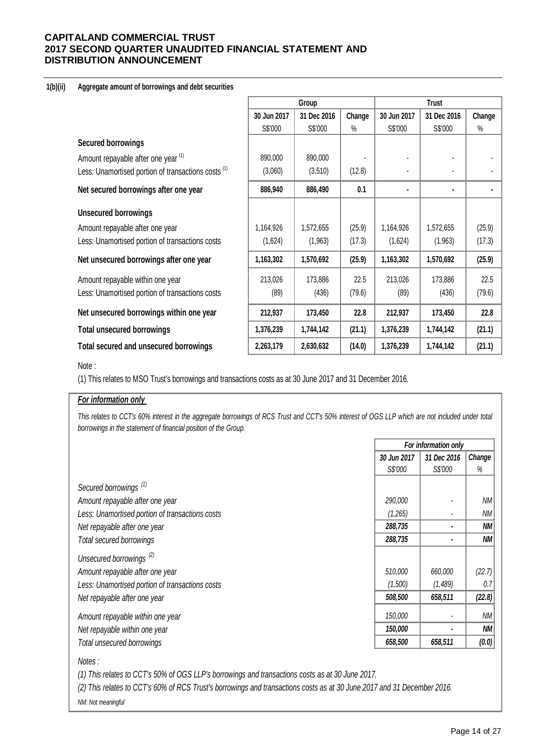#### **1(b)(ii) Aggregate amount of borrowings and debt securities**

|                                                                |             | Group       |        | <b>Trust</b>   |             |        |  |
|----------------------------------------------------------------|-------------|-------------|--------|----------------|-------------|--------|--|
|                                                                | 30 Jun 2017 | 31 Dec 2016 | Change | 30 Jun 2017    | 31 Dec 2016 | Change |  |
|                                                                | S\$'000     | S\$'000     | $\%$   | S\$'000        | S\$'000     | $\%$   |  |
| <b>Secured borrowings</b>                                      |             |             |        |                |             |        |  |
| Amount repayable after one year (1)                            | 890,000     | 890,000     |        |                |             |        |  |
| Less: Unamortised portion of transactions costs <sup>(1)</sup> | (3,060)     | (3,510)     | (12.8) |                |             |        |  |
| Net secured borrowings after one year                          | 886,940     | 886,490     | 0.1    | $\blacksquare$ | ٠           |        |  |
| <b>Unsecured borrowings</b>                                    |             |             |        |                |             |        |  |
| Amount repayable after one year                                | 1,164,926   | 1,572,655   | (25.9) | 1,164,926      | 1,572,655   | (25.9) |  |
| Less: Unamortised portion of transactions costs                | (1,624)     | (1,963)     | (17.3) | (1,624)        | (1,963)     | (17.3) |  |
| Net unsecured borrowings after one year                        | 1,163,302   | 1,570,692   | (25.9) | 1,163,302      | 1,570,692   | (25.9) |  |
| Amount repayable within one year                               | 213,026     | 173,886     | 22.5   | 213,026        | 173,886     | 22.5   |  |
| Less: Unamortised portion of transactions costs                | (89)        | (436)       | (79.6) | (89)           | (436)       | (79.6) |  |
| Net unsecured borrowings within one year                       | 212,937     | 173,450     | 22.8   | 212,937        | 173,450     | 22.8   |  |
| <b>Total unsecured borrowings</b>                              | 1,376,239   | 1,744,142   | (21.1) | 1,376,239      | 1,744,142   | (21.1) |  |
| <b>Total secured and unsecured borrowings</b>                  | 2,263,179   | 2,630,632   | (14.0) | 1,376,239      | 1,744,142   | (21.1) |  |

## Note :

(1) This relates to MSO Trust's borrowings and transactions costs as at 30 June 2017 and 31 December 2016.

## *For information only*

This relates to CCT's 60% interest in the aggregate borrowings of RCS Trust and CCT's 50% interest of OGS LLP which are not included under total *borrowings in the statement of financial position of the Group.*

| For information only |             |           |  |
|----------------------|-------------|-----------|--|
| 30 Jun 2017          | 31 Dec 2016 | Change    |  |
| S\$'000              | S\$'000     | %         |  |
|                      |             |           |  |
| 290,000              |             | ΝM        |  |
| (1,265)              |             | ΝM        |  |
| 288,735              |             | ΝM        |  |
| 288,735              |             | ΝM        |  |
|                      |             |           |  |
| 510,000              | 660,000     | (22.7)    |  |
| (1,500)              | (1,489)     | 0.7       |  |
| 508,500              | 658,511     | (22.8)    |  |
| 150,000              |             | ΝM        |  |
| 150,000              |             | <b>NM</b> |  |
| 658,500              | 658,511     | (0.0)     |  |
|                      |             |           |  |

*Notes :*

*(1) This relates to CCT's 50% of OGS LLP's borrowings and transactions costs as at 30 June 2017.* 

*(2) This relates to CCT's 60% of RCS Trust's borrowings and transactions costs as at 30 June 2017 and 31 December 2016.*

*NM: Not meaningful*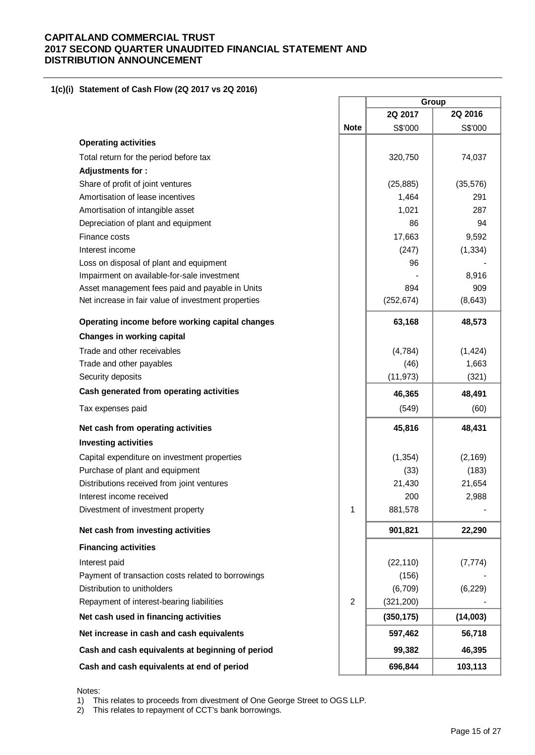## **1(c)(i) Statement of Cash Flow (2Q 2017 vs 2Q 2016)**

|                                                     |                |            | Group     |
|-----------------------------------------------------|----------------|------------|-----------|
|                                                     |                | 2Q 2017    | 2Q 2016   |
|                                                     | <b>Note</b>    | S\$'000    | S\$'000   |
| <b>Operating activities</b>                         |                |            |           |
| Total return for the period before tax              |                | 320,750    | 74,037    |
| Adjustments for:                                    |                |            |           |
| Share of profit of joint ventures                   |                | (25, 885)  | (35, 576) |
| Amortisation of lease incentives                    |                | 1,464      | 291       |
| Amortisation of intangible asset                    |                | 1,021      | 287       |
| Depreciation of plant and equipment                 |                | 86         | 94        |
| Finance costs                                       |                | 17,663     | 9,592     |
| Interest income                                     |                | (247)      | (1, 334)  |
| Loss on disposal of plant and equipment             |                | 96         |           |
| Impairment on available-for-sale investment         |                |            | 8,916     |
| Asset management fees paid and payable in Units     |                | 894        | 909       |
| Net increase in fair value of investment properties |                | (252, 674) | (8,643)   |
| Operating income before working capital changes     |                | 63,168     | 48,573    |
| <b>Changes in working capital</b>                   |                |            |           |
| Trade and other receivables                         |                | (4,784)    | (1, 424)  |
| Trade and other payables                            |                | (46)       | 1,663     |
| Security deposits                                   |                | (11, 973)  | (321)     |
| Cash generated from operating activities            |                | 46,365     | 48,491    |
| Tax expenses paid                                   |                | (549)      | (60)      |
| Net cash from operating activities                  |                | 45,816     | 48,431    |
| <b>Investing activities</b>                         |                |            |           |
| Capital expenditure on investment properties        |                | (1, 354)   | (2, 169)  |
| Purchase of plant and equipment                     |                | (33)       | (183)     |
| Distributions received from joint ventures          |                | 21,430     | 21,654    |
| Interest income received                            |                | 200        | 2,988     |
| Divestment of investment property                   | 1              | 881,578    |           |
| Net cash from investing activities                  |                | 901,821    | 22,290    |
| <b>Financing activities</b>                         |                |            |           |
| Interest paid                                       |                | (22, 110)  | (7, 774)  |
| Payment of transaction costs related to borrowings  |                | (156)      |           |
| Distribution to unitholders                         |                | (6,709)    | (6, 229)  |
| Repayment of interest-bearing liabilities           | $\overline{2}$ | (321, 200) |           |
| Net cash used in financing activities               |                | (350, 175) | (14,003)  |
| Net increase in cash and cash equivalents           |                | 597,462    | 56,718    |
| Cash and cash equivalents at beginning of period    |                | 99,382     | 46,395    |
| Cash and cash equivalents at end of period          |                | 696,844    | 103,113   |

 $\Gamma$ 

 $\overline{\phantom{a}}$ 

Notes:

1) This relates to proceeds from divestment of One George Street to OGS LLP.

2) This relates to repayment of CCT's bank borrowings.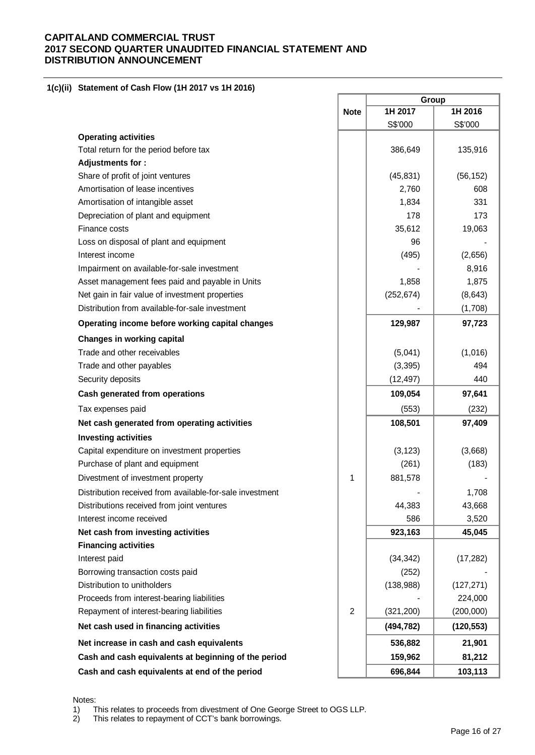# **1(c)(ii) Statement of Cash Flow (1H 2017 vs 1H 2016)**

|                                                          |                | Group      |            |  |  |
|----------------------------------------------------------|----------------|------------|------------|--|--|
|                                                          | <b>Note</b>    | 1H 2017    | 1H 2016    |  |  |
|                                                          |                | S\$'000    | S\$'000    |  |  |
| <b>Operating activities</b>                              |                |            |            |  |  |
| Total return for the period before tax                   |                | 386,649    | 135,916    |  |  |
| Adjustments for:                                         |                |            |            |  |  |
| Share of profit of joint ventures                        |                | (45, 831)  | (56, 152)  |  |  |
| Amortisation of lease incentives                         |                | 2,760      | 608        |  |  |
| Amortisation of intangible asset                         |                | 1,834      | 331        |  |  |
| Depreciation of plant and equipment                      |                | 178        | 173        |  |  |
| Finance costs                                            |                | 35,612     | 19,063     |  |  |
| Loss on disposal of plant and equipment                  |                | 96         |            |  |  |
| Interest income                                          |                | (495)      | (2,656)    |  |  |
| Impairment on available-for-sale investment              |                |            | 8,916      |  |  |
| Asset management fees paid and payable in Units          |                | 1,858      | 1,875      |  |  |
| Net gain in fair value of investment properties          |                | (252, 674) | (8, 643)   |  |  |
| Distribution from available-for-sale investment          |                |            | (1,708)    |  |  |
| Operating income before working capital changes          |                | 129,987    | 97,723     |  |  |
| <b>Changes in working capital</b>                        |                |            |            |  |  |
| Trade and other receivables                              |                | (5,041)    | (1,016)    |  |  |
| Trade and other payables                                 |                | (3, 395)   | 494        |  |  |
| Security deposits                                        |                | (12, 497)  | 440        |  |  |
| Cash generated from operations                           |                | 109,054    | 97,641     |  |  |
| Tax expenses paid                                        |                | (553)      | (232)      |  |  |
| Net cash generated from operating activities             |                | 108,501    | 97,409     |  |  |
| <b>Investing activities</b>                              |                |            |            |  |  |
| Capital expenditure on investment properties             |                | (3, 123)   | (3,668)    |  |  |
| Purchase of plant and equipment                          |                | (261)      | (183)      |  |  |
| Divestment of investment property                        | 1              | 881,578    |            |  |  |
| Distribution received from available-for-sale investment |                |            | 1,708      |  |  |
| Distributions received from joint ventures               |                | 44,383     | 43,668     |  |  |
| Interest income received                                 |                | 586        | 3,520      |  |  |
| Net cash from investing activities                       |                | 923,163    | 45,045     |  |  |
| <b>Financing activities</b>                              |                |            |            |  |  |
| Interest paid                                            |                | (34, 342)  | (17, 282)  |  |  |
| Borrowing transaction costs paid                         |                | (252)      |            |  |  |
| Distribution to unitholders                              |                | (138,988)  | (127, 271) |  |  |
| Proceeds from interest-bearing liabilities               |                |            | 224,000    |  |  |
| Repayment of interest-bearing liabilities                | $\overline{2}$ | (321, 200) | (200,000)  |  |  |
| Net cash used in financing activities                    |                | (494, 782) | (120, 553) |  |  |
| Net increase in cash and cash equivalents                |                | 536,882    | 21,901     |  |  |
| Cash and cash equivalents at beginning of the period     |                | 159,962    | 81,212     |  |  |
| Cash and cash equivalents at end of the period           |                | 696,844    | 103,113    |  |  |

Notes:<br>1) T<br>2) T This relates to proceeds from divestment of One George Street to OGS LLP.

This relates to repayment of CCT's bank borrowings.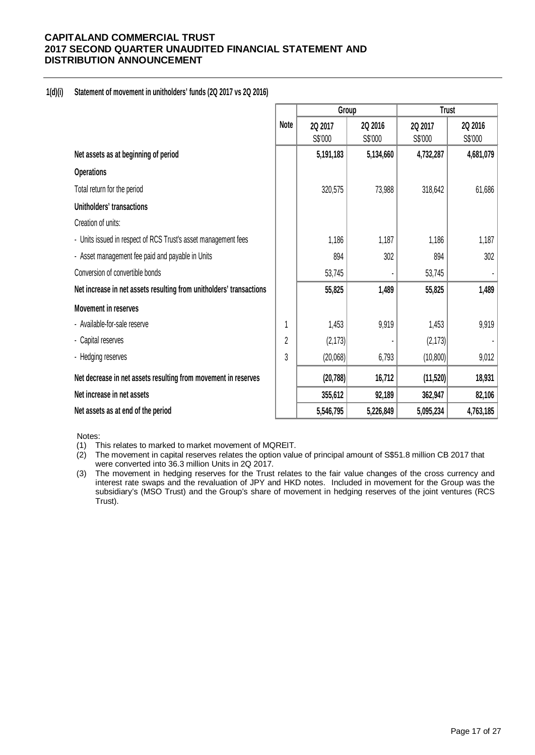## **1(d)(i) Statement of movement in unitholders' funds (2Q 2017 vs 2Q 2016)**

|                                                                     |             | Group     |           | <b>Trust</b> |           |
|---------------------------------------------------------------------|-------------|-----------|-----------|--------------|-----------|
|                                                                     | <b>Note</b> | 2Q 2017   | 2Q 2016   | 2Q 2017      | 2Q 2016   |
|                                                                     |             | S\$'000   | S\$'000   | S\$'000      | S\$'000   |
| Net assets as at beginning of period                                |             | 5,191,183 | 5,134,660 | 4,732,287    | 4,681,079 |
| <b>Operations</b>                                                   |             |           |           |              |           |
| Total return for the period                                         |             | 320,575   | 73,988    | 318,642      | 61,686    |
| Unitholders' transactions                                           |             |           |           |              |           |
| Creation of units:                                                  |             |           |           |              |           |
| - Units issued in respect of RCS Trust's asset management fees      |             | 1,186     | 1,187     | 1,186        | 1,187     |
| - Asset management fee paid and payable in Units                    |             | 894       | 302       | 894          | 302       |
| Conversion of convertible bonds                                     |             | 53,745    |           | 53,745       |           |
| Net increase in net assets resulting from unitholders' transactions |             | 55,825    | 1,489     | 55,825       | 1,489     |
| <b>Movement in reserves</b>                                         |             |           |           |              |           |
| - Available-for-sale reserve                                        | 1           | 1,453     | 9,919     | 1,453        | 9,919     |
| - Capital reserves                                                  | 2           | (2, 173)  |           | (2, 173)     |           |
| - Hedging reserves                                                  | 3           | (20,068)  | 6,793     | (10, 800)    | 9,012     |
| Net decrease in net assets resulting from movement in reserves      |             | (20, 788) | 16,712    | (11, 520)    | 18,931    |
| Net increase in net assets                                          |             | 355,612   | 92,189    | 362,947      | 82,106    |
| Net assets as at end of the period                                  |             | 5,546,795 | 5,226,849 | 5,095,234    | 4,763,185 |

Notes:

(1) This relates to marked to market movement of MQREIT.

(2) The movement in capital reserves relates the option value of principal amount of S\$51.8 million CB 2017 that were converted into 36.3 million Units in 2Q 2017.

(3) The movement in hedging reserves for the Trust relates to the fair value changes of the cross currency and interest rate swaps and the revaluation of JPY and HKD notes. Included in movement for the Group was the subsidiary's (MSO Trust) and the Group's share of movement in hedging reserves of the joint ventures (RCS Trust).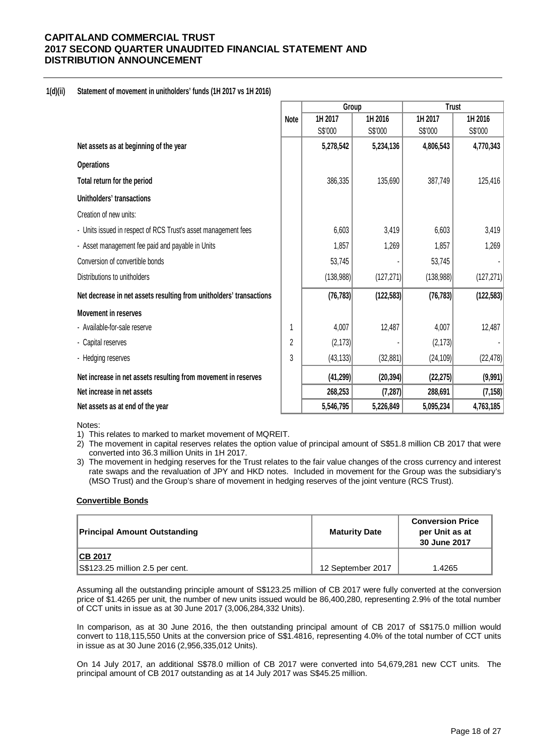## **1(d)(ii) Statement of movement in unitholders' funds (1H 2017 vs 1H 2016)**

|                                                                     |             | Group      |            | <b>Trust</b> |            |  |
|---------------------------------------------------------------------|-------------|------------|------------|--------------|------------|--|
|                                                                     | <b>Note</b> | 1H 2017    | 1H 2016    | 1H 2017      | 1H 2016    |  |
|                                                                     |             | S\$'000    | S\$'000    | S\$'000      | S\$'000    |  |
| Net assets as at beginning of the year                              |             | 5,278,542  | 5,234,136  | 4,806,543    | 4,770,343  |  |
| <b>Operations</b>                                                   |             |            |            |              |            |  |
| Total return for the period                                         |             | 386,335    | 135,690    | 387,749      | 125,416    |  |
| Unitholders' transactions                                           |             |            |            |              |            |  |
| Creation of new units:                                              |             |            |            |              |            |  |
| - Units issued in respect of RCS Trust's asset management fees      |             | 6,603      | 3,419      | 6,603        | 3,419      |  |
| - Asset management fee paid and payable in Units                    |             | 1,857      | 1,269      | 1,857        | 1,269      |  |
| Conversion of convertible bonds                                     |             | 53,745     |            | 53,745       |            |  |
| Distributions to unitholders                                        |             | (138, 988) | (127, 271) | (138, 988)   | (127, 271) |  |
| Net decrease in net assets resulting from unitholders' transactions |             | (76, 783)  | (122, 583) | (76, 783)    | (122, 583) |  |
| <b>Movement in reserves</b>                                         |             |            |            |              |            |  |
| - Available-for-sale reserve                                        |             | 4,007      | 12,487     | 4,007        | 12,487     |  |
| - Capital reserves                                                  | 2           | (2, 173)   |            | (2, 173)     |            |  |
| - Hedging reserves                                                  | 3           | (43, 133)  | (32, 881)  | (24, 109)    | (22, 478)  |  |
| Net increase in net assets resulting from movement in reserves      |             | (41, 299)  | (20, 394)  | (22, 275)    | (9,991)    |  |
| Net increase in net assets                                          |             | 268,253    | (7, 287)   | 288,691      | (7, 158)   |  |
| Net assets as at end of the year                                    |             | 5,546,795  | 5,226,849  | 5,095,234    | 4,763,185  |  |

Notes:

1) This relates to marked to market movement of MQREIT.

2) The movement in capital reserves relates the option value of principal amount of S\$51.8 million CB 2017 that were converted into 36.3 million Units in 1H 2017.

3) The movement in hedging reserves for the Trust relates to the fair value changes of the cross currency and interest rate swaps and the revaluation of JPY and HKD notes. Included in movement for the Group was the subsidiary's (MSO Trust) and the Group's share of movement in hedging reserves of the joint venture (RCS Trust).

#### **Convertible Bonds**

| <b>Principal Amount Outstanding</b> | <b>Maturity Date</b> | <b>Conversion Price</b><br>per Unit as at<br>30 June 2017 |
|-------------------------------------|----------------------|-----------------------------------------------------------|
| <b>ICB 2017</b>                     |                      |                                                           |
| S\$123.25 million 2.5 per cent.     | 12 September 2017    | 1.4265                                                    |

Assuming all the outstanding principle amount of S\$123.25 million of CB 2017 were fully converted at the conversion price of \$1.4265 per unit, the number of new units issued would be 86,400,280, representing 2.9% of the total number of CCT units in issue as at 30 June 2017 (3,006,284,332 Units).

In comparison, as at 30 June 2016, the then outstanding principal amount of CB 2017 of S\$175.0 million would convert to 118,115,550 Units at the conversion price of S\$1.4816, representing 4.0% of the total number of CCT units in issue as at 30 June 2016 (2,956,335,012 Units).

On 14 July 2017, an additional S\$78.0 million of CB 2017 were converted into 54,679,281 new CCT units. The principal amount of CB 2017 outstanding as at 14 July 2017 was S\$45.25 million.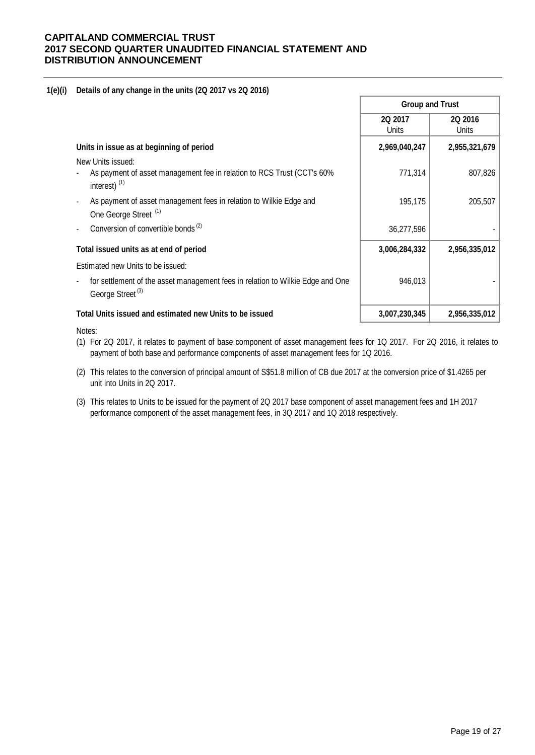## **1(e)(i) Details of any change in the units (2Q 2017 vs 2Q 2016)**

|                                                                                                                | <b>Group and Trust</b> |                  |  |
|----------------------------------------------------------------------------------------------------------------|------------------------|------------------|--|
|                                                                                                                | 2Q 2017<br>Units       | 2Q 2016<br>Units |  |
| Units in issue as at beginning of period                                                                       | 2,969,040,247          | 2,955,321,679    |  |
| New Units issued:                                                                                              |                        |                  |  |
| As payment of asset management fee in relation to RCS Trust (CCT's 60%<br>interest) $(1)$                      | 771,314                | 807,826          |  |
| As payment of asset management fees in relation to Wilkie Edge and<br>One George Street <sup>(1)</sup>         | 195,175                | 205,507          |  |
| Conversion of convertible bonds <sup>(2)</sup>                                                                 | 36,277,596             |                  |  |
| Total issued units as at end of period                                                                         | 3,006,284,332          | 2,956,335,012    |  |
| Estimated new Units to be issued:                                                                              |                        |                  |  |
| for settlement of the asset management fees in relation to Wilkie Edge and One<br>George Street <sup>(3)</sup> | 946,013                |                  |  |
| Total Units issued and estimated new Units to be issued                                                        | 3,007,230,345          | 2,956,335,012    |  |

Notes:

- (1) For 2Q 2017, it relates to payment of base component of asset management fees for 1Q 2017. For 2Q 2016, it relates to payment of both base and performance components of asset management fees for 1Q 2016.
- (2) This relates to the conversion of principal amount of S\$51.8 million of CB due 2017 at the conversion price of \$1.4265 per unit into Units in 2Q 2017.
- (3) This relates to Units to be issued for the payment of 2Q 2017 base component of asset management fees and 1H 2017 performance component of the asset management fees, in 3Q 2017 and 1Q 2018 respectively.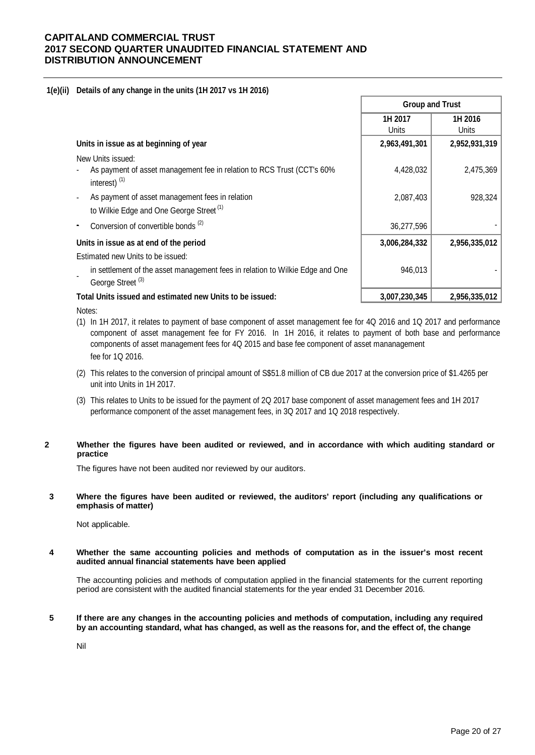## **1(e)(ii) Details of any change in the units (1H 2017 vs 1H 2016)**

|                                                                                                               | <b>Group and Trust</b> |                  |  |
|---------------------------------------------------------------------------------------------------------------|------------------------|------------------|--|
|                                                                                                               | 1H 2017<br>Units       | 1H 2016<br>Units |  |
| Units in issue as at beginning of year                                                                        | 2,963,491,301          | 2,952,931,319    |  |
| New Units issued:                                                                                             |                        |                  |  |
| As payment of asset management fee in relation to RCS Trust (CCT's 60%<br>interest) $(1)$                     | 4,428,032              | 2,475,369        |  |
| As payment of asset management fees in relation<br>to Wilkie Edge and One George Street <sup>(1)</sup>        | 2,087,403              | 928,324          |  |
| Conversion of convertible bonds <sup>(2)</sup>                                                                | 36,277,596             |                  |  |
| Units in issue as at end of the period                                                                        | 3,006,284,332          | 2,956,335,012    |  |
| Estimated new Units to be issued:                                                                             |                        |                  |  |
| in settlement of the asset management fees in relation to Wilkie Edge and One<br>George Street <sup>(3)</sup> | 946,013                |                  |  |
| Total Units issued and estimated new Units to be issued:                                                      | 3,007,230,345          | 2,956,335,012    |  |
| Notes:                                                                                                        |                        |                  |  |

- (1) In 1H 2017, it relates to payment of base component of asset management fee for 4Q 2016 and 1Q 2017 and performance fee for 1Q 2016. component of asset management fee for FY 2016. In 1H 2016, it relates to payment of both base and performance components of asset management fees for 4Q 2015 and base fee component of asset mananagement
- (2) This relates to the conversion of principal amount of S\$51.8 million of CB due 2017 at the conversion price of \$1.4265 per unit into Units in 1H 2017.
- (3) This relates to Units to be issued for the payment of 2Q 2017 base component of asset management fees and 1H 2017 performance component of the asset management fees, in 3Q 2017 and 1Q 2018 respectively.

## **2 Whether the figures have been audited or reviewed, and in accordance with which auditing standard or practice**

The figures have not been audited nor reviewed by our auditors.

#### **3 Where the figures have been audited or reviewed, the auditors' report (including any qualifications or emphasis of matter)**

Not applicable.

#### **4 Whether the same accounting policies and methods of computation as in the issuer's most recent audited annual financial statements have been applied**

The accounting policies and methods of computation applied in the financial statements for the current reporting period are consistent with the audited financial statements for the year ended 31 December 2016.

**5 If there are any changes in the accounting policies and methods of computation, including any required by an accounting standard, what has changed, as well as the reasons for, and the effect of, the change**

Nil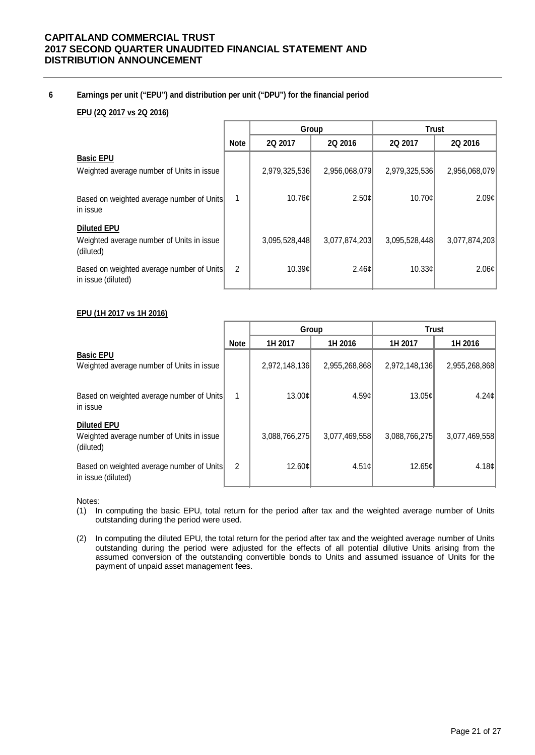## **6 Earnings per unit ("EPU") and distribution per unit ("DPU") for the financial period**

## **EPU (2Q 2017 vs 2Q 2016)**

|                                                                              |             |               | Group             | <b>Trust</b>  |               |
|------------------------------------------------------------------------------|-------------|---------------|-------------------|---------------|---------------|
|                                                                              | <b>Note</b> | 2Q 2017       | 2Q 2016           | 2Q 2017       | 2Q 2016       |
| <b>Basic EPU</b><br>Weighted average number of Units in issue                |             | 2,979,325,536 | 2,956,068,079     | 2,979,325,536 | 2,956,068,079 |
| Based on weighted average number of Units<br>in issue                        | 1           | 10.76c        | 2.50c             | 10.70c        | 2.09c         |
| <b>Diluted EPU</b><br>Weighted average number of Units in issue<br>(diluted) |             | 3,095,528,448 | 3,077,874,203     | 3,095,528,448 | 3,077,874,203 |
| Based on weighted average number of Units<br>in issue (diluted)              | 2           | 10.39c        | 2.46 <sub>c</sub> | 10.33c        | 2.06¢         |

## **EPU (1H 2017 vs 1H 2016)**

|                                                                              |                | Group         |                   | <b>Trust</b>  |                   |
|------------------------------------------------------------------------------|----------------|---------------|-------------------|---------------|-------------------|
|                                                                              | <b>Note</b>    | 1H 2017       | 1H 2016           | 1H 2017       | 1H 2016           |
| <b>Basic EPU</b><br>Weighted average number of Units in issue                |                | 2,972,148,136 | 2,955,268,868     | 2,972,148,136 | 2,955,268,868     |
| Based on weighted average number of Units<br>in issue                        | 1              | 13.00¢        | 4.59 <sub>c</sub> | 13.05¢        | 4.24 <sub>c</sub> |
| <b>Diluted EPU</b><br>Weighted average number of Units in issue<br>(diluted) |                | 3,088,766,275 | 3,077,469,558     | 3,088,766,275 | 3,077,469,558     |
| Based on weighted average number of Units<br>in issue (diluted)              | $\overline{2}$ | 12.60c        | 4.51c             | 12.65c        | 4.18¢             |

Notes:

- (1) In computing the basic EPU, total return for the period after tax and the weighted average number of Units outstanding during the period were used.
- (2) In computing the diluted EPU, the total return for the period after tax and the weighted average number of Units outstanding during the period were adjusted for the effects of all potential dilutive Units arising from the assumed conversion of the outstanding convertible bonds to Units and assumed issuance of Units for the payment of unpaid asset management fees.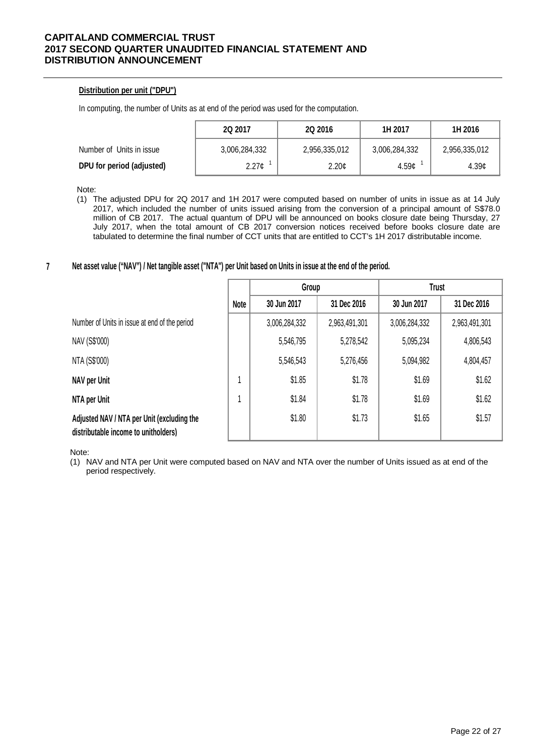## **Distribution per unit ("DPU")**

In computing, the number of Units as at end of the period was used for the computation.

|                           | 2Q 2017       | 2Q 2016           | 1H 2017       | 1H 2016       |  |
|---------------------------|---------------|-------------------|---------------|---------------|--|
| Number of Units in issue  | 3,006,284,332 | 2,956,335,012     | 3,006,284,332 | 2,956,335,012 |  |
| DPU for period (adjusted) | 2.27¢         | 2.20 <sub>¢</sub> | 4.59c         | 4.39c         |  |

Note:

(1) The adjusted DPU for 2Q 2017 and 1H 2017 were computed based on number of units in issue as at 14 July 2017, which included the number of units issued arising from the conversion of a principal amount of S\$78.0 million of CB 2017. The actual quantum of DPU will be announced on books closure date being Thursday, 27 July 2017, when the total amount of CB 2017 conversion notices received before books closure date are tabulated to determine the final number of CCT units that are entitled to CCT's 1H 2017 distributable income.

#### **7 Net asset value ("NAV") / Net tangible asset ("NTA") per Unit based on Units in issue at the end of the period.**

|                                                                                    |      | Group         |               | <b>Trust</b>  |               |
|------------------------------------------------------------------------------------|------|---------------|---------------|---------------|---------------|
|                                                                                    | Note | 30 Jun 2017   | 31 Dec 2016   | 30 Jun 2017   | 31 Dec 2016   |
| Number of Units in issue at end of the period                                      |      | 3,006,284,332 | 2,963,491,301 | 3,006,284,332 | 2,963,491,301 |
| NAV (S\$'000)                                                                      |      | 5,546,795     | 5,278,542     | 5,095,234     | 4,806,543     |
| NTA (S\$'000)                                                                      |      | 5,546,543     | 5,276,456     | 5,094,982     | 4,804,457     |
| NAV per Unit                                                                       |      | \$1.85        | \$1.78        | \$1.69        | \$1.62        |
| NTA per Unit                                                                       |      | \$1.84        | \$1.78        | \$1.69        | \$1.62        |
| Adjusted NAV / NTA per Unit (excluding the<br>distributable income to unitholders) |      | \$1.80        | \$1.73        | \$1.65        | \$1.57        |

Note:

(1) NAV and NTA per Unit were computed based on NAV and NTA over the number of Units issued as at end of the period respectively.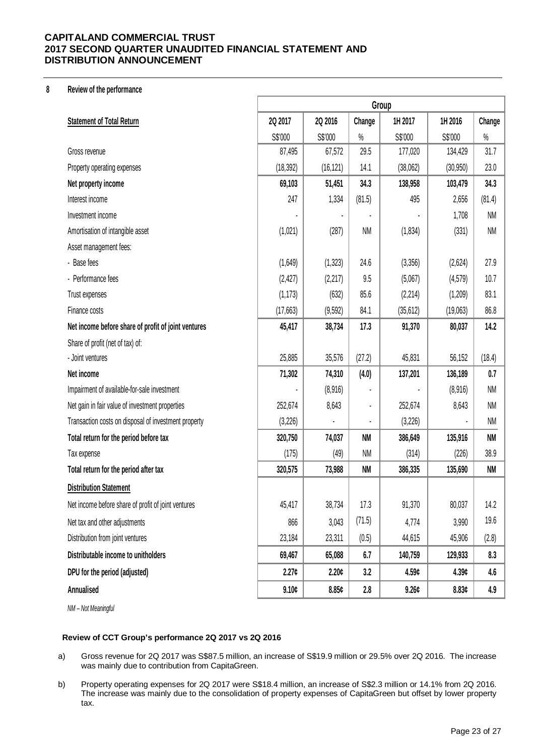## **8 Review of the performance**

|                                                      | Group     |                   |           |           |                |           |
|------------------------------------------------------|-----------|-------------------|-----------|-----------|----------------|-----------|
| <b>Statement of Total Return</b>                     | 2Q 2017   | 2Q 2016           | Change    | 1H 2017   | 1H 2016        | Change    |
|                                                      | S\$'000   | S\$'000           | $\%$      | S\$'000   | S\$'000        | $\%$      |
| Gross revenue                                        | 87,495    | 67,572            | 29.5      | 177,020   | 134,429        | 31.7      |
| Property operating expenses                          | (18, 392) | (16, 121)         | 14.1      | (38,062)  | (30, 950)      | 23.0      |
| Net property income                                  | 69,103    | 51,451            | 34.3      | 138,958   | 103,479        | 34.3      |
| Interest income                                      | 247       | 1,334             | (81.5)    | 495       | 2,656          | (81.4)    |
| Investment income                                    |           |                   |           |           | 1,708          | <b>NM</b> |
| Amortisation of intangible asset                     | (1,021)   | (287)             | <b>NM</b> | (1,834)   | (331)          | <b>NM</b> |
| Asset management fees:                               |           |                   |           |           |                |           |
| - Base fees                                          | (1,649)   | (1, 323)          | 24.6      | (3,356)   | (2,624)        | 27.9      |
| - Performance fees                                   | (2, 427)  | (2,217)           | 9.5       | (5,067)   | (4, 579)       | 10.7      |
| Trust expenses                                       | (1, 173)  | (632)             | 85.6      | (2, 214)  | (1,209)        | 83.1      |
| Finance costs                                        | (17,663)  | (9,592)           | 84.1      | (35, 612) | (19,063)       | 86.8      |
| Net income before share of profit of joint ventures  | 45,417    | 38,734            | 17.3      | 91,370    | 80,037         | 14.2      |
| Share of profit (net of tax) of:                     |           |                   |           |           |                |           |
| - Joint ventures                                     | 25,885    | 35,576            | (27.2)    | 45,831    | 56,152         | (18.4)    |
| Net income                                           | 71,302    | 74,310            | (4.0)     | 137,201   | 136,189        | 0.7       |
| Impairment of available-for-sale investment          |           | (8,916)           |           |           | (8,916)        | <b>NM</b> |
| Net gain in fair value of investment properties      | 252,674   | 8,643             |           | 252,674   | 8,643          | <b>NM</b> |
| Transaction costs on disposal of investment property | (3,226)   |                   |           | (3,226)   | $\blacksquare$ | <b>NM</b> |
| Total return for the period before tax               | 320,750   | 74,037            | <b>NM</b> | 386,649   | 135,916        | NM        |
| Tax expense                                          | (175)     | (49)              | <b>NM</b> | (314)     | (226)          | 38.9      |
| Total return for the period after tax                | 320,575   | 73,988            | <b>NM</b> | 386,335   | 135,690        | <b>NM</b> |
| <b>Distribution Statement</b>                        |           |                   |           |           |                |           |
| Net income before share of profit of joint ventures  | 45,417    | 38,734            | 17.3      | 91,370    | 80,037         | 14.2      |
| Net tax and other adjustments                        | 866       | 3,043             | (71.5)    | 4,774     | 3,990          | 19.6      |
| Distribution from joint ventures                     | 23,184    | 23,311            | (0.5)     | 44,615    | 45,906         | (2.8)     |
| Distributable income to unitholders                  | 69,467    | 65,088            | 6.7       | 140,759   | 129,933        | 8.3       |
| DPU for the period (adjusted)                        | 2.27c     | 2.20 <sub>¢</sub> | 3.2       | 4.59c     | 4.39c          | 4.6       |
| Annualised                                           | 9.10c     | 8.85c             | 2.8       | 9.26c     | 8.83c          | 4.9       |

*NM – Not Meaningful*

## **Review of CCT Group's performance 2Q 2017 vs 2Q 2016**

- a) Gross revenue for 2Q 2017 was S\$87.5 million, an increase of S\$19.9 million or 29.5% over 2Q 2016. The increase was mainly due to contribution from CapitaGreen.
- b) Property operating expenses for 2Q 2017 were S\$18.4 million, an increase of S\$2.3 million or 14.1% from 2Q 2016. The increase was mainly due to the consolidation of property expenses of CapitaGreen but offset by lower property tax.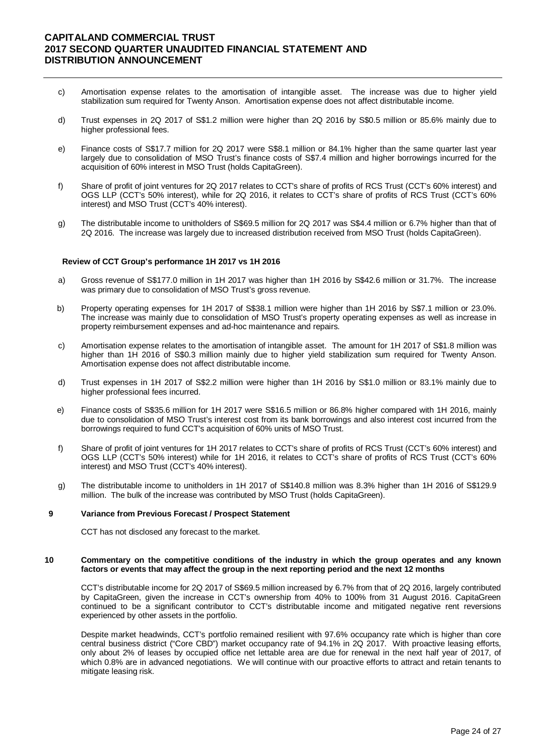- c) Amortisation expense relates to the amortisation of intangible asset. The increase was due to higher yield stabilization sum required for Twenty Anson. Amortisation expense does not affect distributable income.
- d) Trust expenses in 2Q 2017 of S\$1.2 million were higher than 2Q 2016 by S\$0.5 million or 85.6% mainly due to higher professional fees.
- e) Finance costs of S\$17.7 million for 2Q 2017 were S\$8.1 million or 84.1% higher than the same quarter last year largely due to consolidation of MSO Trust's finance costs of S\$7.4 million and higher borrowings incurred for the acquisition of 60% interest in MSO Trust (holds CapitaGreen).
- f) Share of profit of joint ventures for 2Q 2017 relates to CCT's share of profits of RCS Trust (CCT's 60% interest) and OGS LLP (CCT's 50% interest), while for 2Q 2016, it relates to CCT's share of profits of RCS Trust (CCT's 60% interest) and MSO Trust (CCT's 40% interest).
- g) The distributable income to unitholders of S\$69.5 million for 2Q 2017 was S\$4.4 million or 6.7% higher than that of 2Q 2016. The increase was largely due to increased distribution received from MSO Trust (holds CapitaGreen).

#### **Review of CCT Group's performance 1H 2017 vs 1H 2016**

- a) Gross revenue of S\$177.0 million in 1H 2017 was higher than 1H 2016 by S\$42.6 million or 31.7%. The increase was primary due to consolidation of MSO Trust's gross revenue.
- b) Property operating expenses for 1H 2017 of S\$38.1 million were higher than 1H 2016 by S\$7.1 million or 23.0%. The increase was mainly due to consolidation of MSO Trust's property operating expenses as well as increase in property reimbursement expenses and ad-hoc maintenance and repairs.
- c) Amortisation expense relates to the amortisation of intangible asset. The amount for 1H 2017 of S\$1.8 million was higher than 1H 2016 of S\$0.3 million mainly due to higher yield stabilization sum required for Twenty Anson. Amortisation expense does not affect distributable income.
- d) Trust expenses in 1H 2017 of S\$2.2 million were higher than 1H 2016 by S\$1.0 million or 83.1% mainly due to higher professional fees incurred.
- e) Finance costs of S\$35.6 million for 1H 2017 were S\$16.5 million or 86.8% higher compared with 1H 2016, mainly due to consolidation of MSO Trust's interest cost from its bank borrowings and also interest cost incurred from the borrowings required to fund CCT's acquisition of 60% units of MSO Trust.
- f) Share of profit of joint ventures for 1H 2017 relates to CCT's share of profits of RCS Trust (CCT's 60% interest) and OGS LLP (CCT's 50% interest) while for 1H 2016, it relates to CCT's share of profits of RCS Trust (CCT's 60% interest) and MSO Trust (CCT's 40% interest).
- g) The distributable income to unitholders in 1H 2017 of S\$140.8 million was 8.3% higher than 1H 2016 of S\$129.9 million. The bulk of the increase was contributed by MSO Trust (holds CapitaGreen).

#### **9 Variance from Previous Forecast / Prospect Statement**

CCT has not disclosed any forecast to the market.

#### **10 Commentary on the competitive conditions of the industry in which the group operates and any known factors or events that may affect the group in the next reporting period and the next 12 months**

CCT's distributable income for 2Q 2017 of S\$69.5 million increased by 6.7% from that of 2Q 2016, largely contributed by CapitaGreen, given the increase in CCT's ownership from 40% to 100% from 31 August 2016. CapitaGreen continued to be a significant contributor to CCT's distributable income and mitigated negative rent reversions experienced by other assets in the portfolio.

Despite market headwinds, CCT's portfolio remained resilient with 97.6% occupancy rate which is higher than core central business district ("Core CBD") market occupancy rate of 94.1% in 2Q 2017. With proactive leasing efforts, only about 2% of leases by occupied office net lettable area are due for renewal in the next half year of 2017, of which 0.8% are in advanced negotiations. We will continue with our proactive efforts to attract and retain tenants to mitigate leasing risk.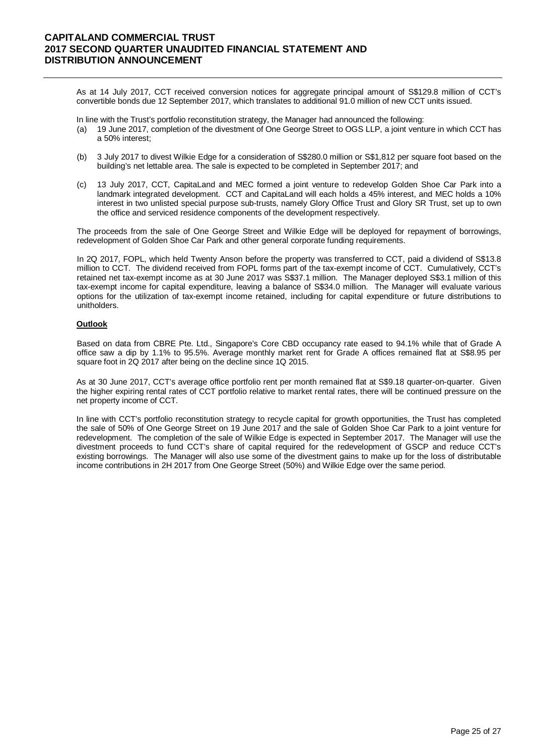As at 14 July 2017, CCT received conversion notices for aggregate principal amount of S\$129.8 million of CCT's convertible bonds due 12 September 2017, which translates to additional 91.0 million of new CCT units issued.

In line with the Trust's portfolio reconstitution strategy, the Manager had announced the following:

- (a) 19 June 2017, completion of the divestment of One George Street to OGS LLP, a joint venture in which CCT has a 50% interest;
- (b) 3 July 2017 to divest Wilkie Edge for a consideration of S\$280.0 million or S\$1,812 per square foot based on the building's net lettable area. The sale is expected to be completed in September 2017; and
- (c) 13 July 2017, CCT, CapitaLand and MEC formed a joint venture to redevelop Golden Shoe Car Park into a landmark integrated development. CCT and CapitaLand will each holds a 45% interest, and MEC holds a 10% interest in two unlisted special purpose sub-trusts, namely Glory Office Trust and Glory SR Trust, set up to own the office and serviced residence components of the development respectively.

The proceeds from the sale of One George Street and Wilkie Edge will be deployed for repayment of borrowings, redevelopment of Golden Shoe Car Park and other general corporate funding requirements.

In 2Q 2017, FOPL, which held Twenty Anson before the property was transferred to CCT, paid a dividend of S\$13.8 million to CCT. The dividend received from FOPL forms part of the tax-exempt income of CCT. Cumulatively, CCT's retained net tax-exempt income as at 30 June 2017 was S\$37.1 million. The Manager deployed S\$3.1 million of this tax-exempt income for capital expenditure, leaving a balance of S\$34.0 million. The Manager will evaluate various options for the utilization of tax-exempt income retained, including for capital expenditure or future distributions to unitholders.

#### **Outlook**

Based on data from CBRE Pte. Ltd., Singapore's Core CBD occupancy rate eased to 94.1% while that of Grade A office saw a dip by 1.1% to 95.5%. Average monthly market rent for Grade A offices remained flat at S\$8.95 per square foot in 2Q 2017 after being on the decline since 1Q 2015.

As at 30 June 2017, CCT's average office portfolio rent per month remained flat at S\$9.18 quarter-on-quarter. Given the higher expiring rental rates of CCT portfolio relative to market rental rates, there will be continued pressure on the net property income of CCT.

In line with CCT's portfolio reconstitution strategy to recycle capital for growth opportunities, the Trust has completed the sale of 50% of One George Street on 19 June 2017 and the sale of Golden Shoe Car Park to a joint venture for redevelopment. The completion of the sale of Wilkie Edge is expected in September 2017. The Manager will use the divestment proceeds to fund CCT's share of capital required for the redevelopment of GSCP and reduce CCT's existing borrowings. The Manager will also use some of the divestment gains to make up for the loss of distributable income contributions in 2H 2017 from One George Street (50%) and Wilkie Edge over the same period.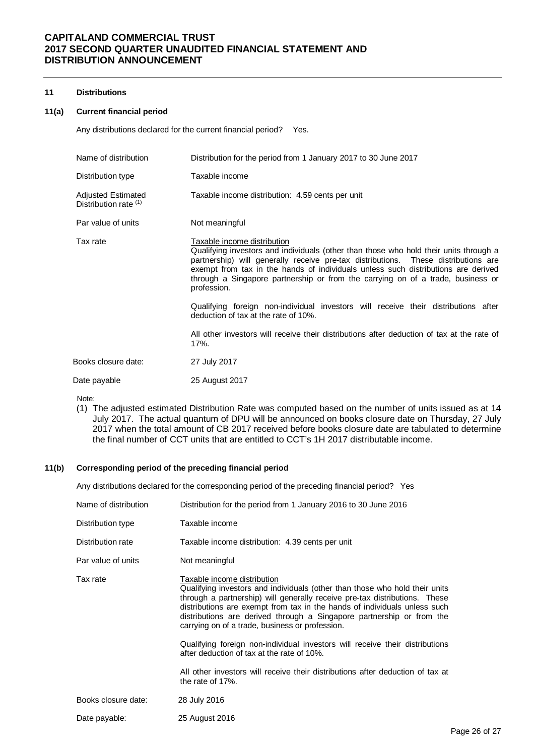#### **11 Distributions**

#### **11(a) Current financial period**

Any distributions declared for the current financial period? Yes.

| Name of distribution                               | Distribution for the period from 1 January 2017 to 30 June 2017                                                                                                                                                                                                                                                                                                                                                                                                                                                                                                                                                                       |
|----------------------------------------------------|---------------------------------------------------------------------------------------------------------------------------------------------------------------------------------------------------------------------------------------------------------------------------------------------------------------------------------------------------------------------------------------------------------------------------------------------------------------------------------------------------------------------------------------------------------------------------------------------------------------------------------------|
| Distribution type                                  | Taxable income                                                                                                                                                                                                                                                                                                                                                                                                                                                                                                                                                                                                                        |
| <b>Adjusted Estimated</b><br>Distribution rate (1) | Taxable income distribution: 4.59 cents per unit                                                                                                                                                                                                                                                                                                                                                                                                                                                                                                                                                                                      |
| Par value of units                                 | Not meaningful                                                                                                                                                                                                                                                                                                                                                                                                                                                                                                                                                                                                                        |
| Tax rate                                           | Taxable income distribution<br>Qualifying investors and individuals (other than those who hold their units through a<br>partnership) will generally receive pre-tax distributions. These distributions are<br>exempt from tax in the hands of individuals unless such distributions are derived<br>through a Singapore partnership or from the carrying on of a trade, business or<br>profession.<br>Qualifying foreign non-individual investors will receive their distributions after<br>deduction of tax at the rate of 10%.<br>All other investors will receive their distributions after deduction of tax at the rate of<br>17%. |
| Books closure date:                                | 27 July 2017                                                                                                                                                                                                                                                                                                                                                                                                                                                                                                                                                                                                                          |
| Date payable                                       | 25 August 2017                                                                                                                                                                                                                                                                                                                                                                                                                                                                                                                                                                                                                        |

Note:

(1) The adjusted estimated Distribution Rate was computed based on the number of units issued as at 14 July 2017. The actual quantum of DPU will be announced on books closure date on Thursday, 27 July 2017 when the total amount of CB 2017 received before books closure date are tabulated to determine the final number of CCT units that are entitled to CCT's 1H 2017 distributable income.

#### **11(b) Corresponding period of the preceding financial period**

Any distributions declared for the corresponding period of the preceding financial period? Yes

| Name of distribution | Distribution for the period from 1 January 2016 to 30 June 2016                                                                                                                                                                                                                                                                                                                                                                                                                                                                                                                                                                           |
|----------------------|-------------------------------------------------------------------------------------------------------------------------------------------------------------------------------------------------------------------------------------------------------------------------------------------------------------------------------------------------------------------------------------------------------------------------------------------------------------------------------------------------------------------------------------------------------------------------------------------------------------------------------------------|
| Distribution type    | Taxable income                                                                                                                                                                                                                                                                                                                                                                                                                                                                                                                                                                                                                            |
| Distribution rate    | Taxable income distribution: 4.39 cents per unit                                                                                                                                                                                                                                                                                                                                                                                                                                                                                                                                                                                          |
| Par value of units   | Not meaningful                                                                                                                                                                                                                                                                                                                                                                                                                                                                                                                                                                                                                            |
| Tax rate             | Taxable income distribution<br>Qualifying investors and individuals (other than those who hold their units<br>through a partnership) will generally receive pre-tax distributions. These<br>distributions are exempt from tax in the hands of individuals unless such<br>distributions are derived through a Singapore partnership or from the<br>carrying on of a trade, business or profession.<br>Qualifying foreign non-individual investors will receive their distributions<br>after deduction of tax at the rate of 10%.<br>All other investors will receive their distributions after deduction of tax at<br>the rate of $17\%$ . |
| Books closure date:  | 28 July 2016                                                                                                                                                                                                                                                                                                                                                                                                                                                                                                                                                                                                                              |
| Date payable:        | 25 August 2016                                                                                                                                                                                                                                                                                                                                                                                                                                                                                                                                                                                                                            |